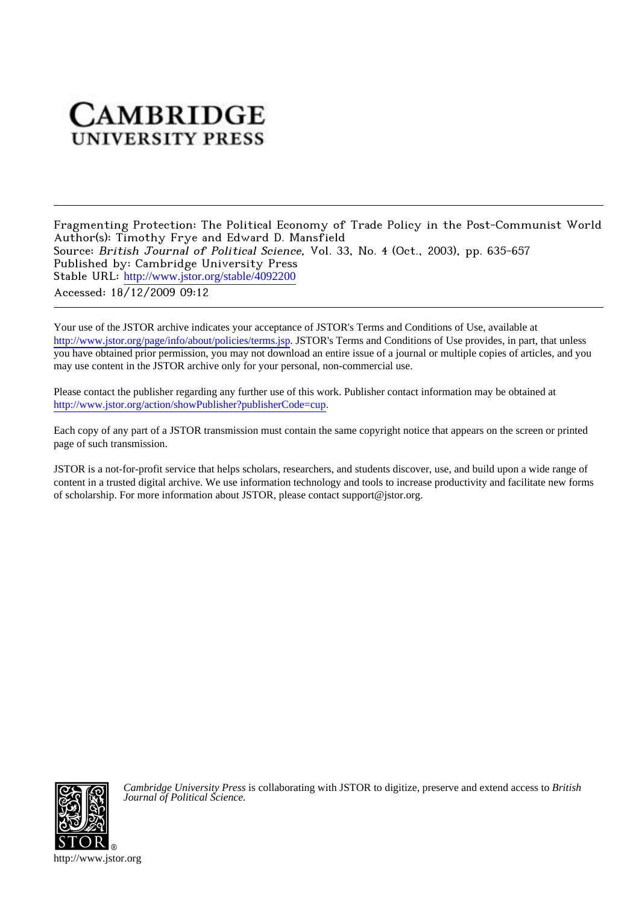# **CAMBRIDGE UNIVERSITY PRESS**

Fragmenting Protection: The Political Economy of Trade Policy in the Post-Communist World Author(s): Timothy Frye and Edward D. Mansfield Source: British Journal of Political Science, Vol. 33, No. 4 (Oct., 2003), pp. 635-657 Published by: Cambridge University Press Stable URL: [http://www.jstor.org/stable/4092200](http://www.jstor.org/stable/4092200?origin=JSTOR-pdf) Accessed: 18/12/2009 09:12

Your use of the JSTOR archive indicates your acceptance of JSTOR's Terms and Conditions of Use, available at <http://www.jstor.org/page/info/about/policies/terms.jsp>. JSTOR's Terms and Conditions of Use provides, in part, that unless you have obtained prior permission, you may not download an entire issue of a journal or multiple copies of articles, and you may use content in the JSTOR archive only for your personal, non-commercial use.

Please contact the publisher regarding any further use of this work. Publisher contact information may be obtained at <http://www.jstor.org/action/showPublisher?publisherCode=cup>.

Each copy of any part of a JSTOR transmission must contain the same copyright notice that appears on the screen or printed page of such transmission.

JSTOR is a not-for-profit service that helps scholars, researchers, and students discover, use, and build upon a wide range of content in a trusted digital archive. We use information technology and tools to increase productivity and facilitate new forms of scholarship. For more information about JSTOR, please contact support@jstor.org.



*Cambridge University Press* is collaborating with JSTOR to digitize, preserve and extend access to *British Journal of Political Science.*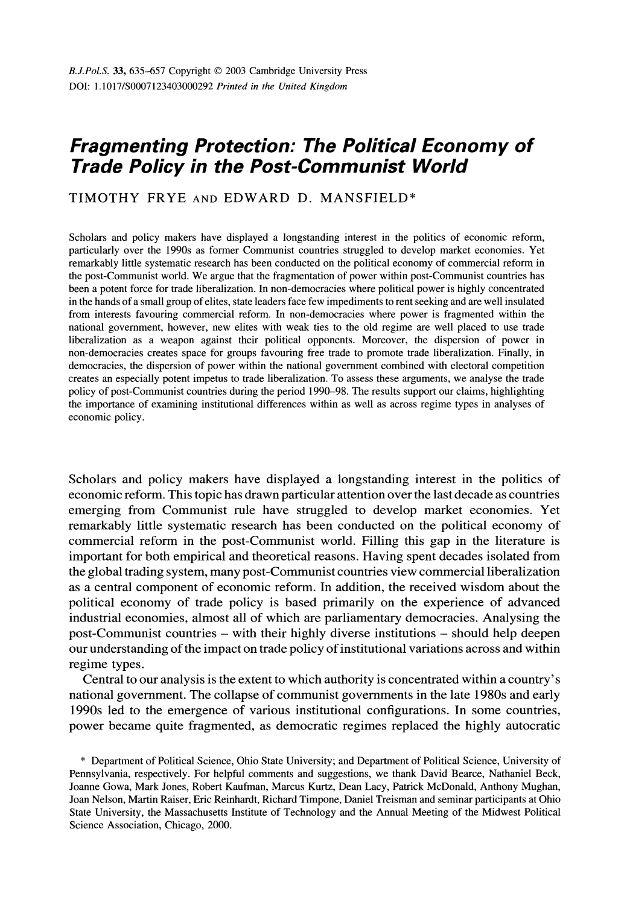# **Fragmenting Protection: The Political Economy of Trade Policy in the Post-Communist World**

# **TIMOTHY FRYE AND EDWARD D. MANSFIELD\***

**Scholars and policy makers have displayed a longstanding interest in the politics of economic reform, particularly over the 1990s as former Communist countries struggled to develop market economies. Yet remarkably little systematic research has been conducted on the political economy of commercial reform in the post-Communist world. We argue that the fragmentation of power within post-Communist countries has been a potent force for trade liberalization. In non-democracies where political power is highly concentrated in the hands of a small group of elites, state leaders face few impediments to rent seeking and are well insulated from interests favouring commercial reform. In non-democracies where power is fragmented within the national government, however, new elites with weak ties to the old regime are well placed to use trade liberalization as a weapon against their political opponents. Moreover, the dispersion of power in non-democracies creates space for groups favouring free trade to promote trade liberalization. Finally, in democracies, the dispersion of power within the national government combined with electoral competition creates an especially potent impetus to trade liberalization. To assess these arguments, we analyse the trade policy of post-Communist countries during the period 1990-98. The results support our claims, highlighting the importance of examining institutional differences within as well as across regime types in analyses of economic policy.** 

**Scholars and policy makers have displayed a longstanding interest in the politics of economic reform. This topic has drawn particular attention over the last decade as countries emerging from Communist rule have struggled to develop market economies. Yet remarkably little systematic research has been conducted on the political economy of commercial reform in the post-Communist world. Filling this gap in the literature is important for both empirical and theoretical reasons. Having spent decades isolated from the global trading system, many post-Communist countries view commercial liberalization as a central component of economic reform. In addition, the received wisdom about the political economy of trade policy is based primarily on the experience of advanced industrial economies, almost all of which are parliamentary democracies. Analysing the post-Communist countries - with their highly diverse institutions - should help deepen our understanding of the impact on trade policy of institutional variations across and within regime types.** 

**Central to our analysis is the extent to which authority is concentrated within a country's national government. The collapse of communist governments in the late 1980s and early 1990s led to the emergence of various institutional configurations. In some countries, power became quite fragmented, as democratic regimes replaced the highly autocratic** 

**<sup>\*</sup> Department of Political Science, Ohio State University; and Department of Political Science, University of Pennsylvania, respectively. For helpful comments and suggestions, we thank David Bearce, Nathaniel Beck, Joanne Gowa, Mark Jones, Robert Kaufman, Marcus Kurtz, Dean Lacy, Patrick McDonald, Anthony Mughan, Joan Nelson, Martin Raiser, Eric Reinhardt, Richard Timpone, Daniel Treisman and seminar participants at Ohio State University, the Massachusetts Institute of Technology and the Annual Meeting of the Midwest Political Science Association, Chicago, 2000.**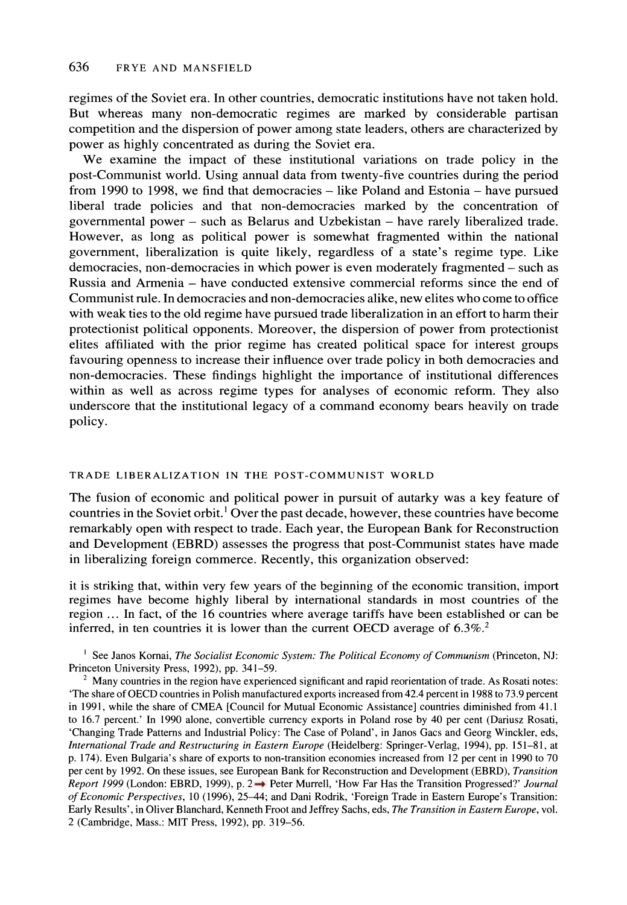**regimes of the Soviet era. In other countries, democratic institutions have not taken hold. But whereas many non-democratic regimes are marked by considerable partisan competition and the dispersion of power among state leaders, others are characterized by power as highly concentrated as during the Soviet era.** 

**We examine the impact of these institutional variations on trade policy in the post-Communist world. Using annual data from twenty-five countries during the period from 1990 to 1998, we find that democracies - like Poland and Estonia - have pursued liberal trade policies and that non-democracies marked by the concentration of governmental power - such as Belarus and Uzbekistan - have rarely liberalized trade. However, as long as political power is somewhat fragmented within the national government, liberalization is quite likely, regardless of a state's regime type. Like democracies, non-democracies in which power is even moderately fragmented - such as Russia and Armenia - have conducted extensive commercial reforms since the end of Communist rule. In democracies and non-democracies alike, new elites who come to office with weak ties to the old regime have pursued trade liberalization in an effort to harm their protectionist political opponents. Moreover, the dispersion of power from protectionist elites affiliated with the prior regime has created political space for interest groups favouring openness to increase their influence over trade policy in both democracies and non-democracies. These findings highlight the importance of institutional differences within as well as across regime types for analyses of economic reform. They also underscore that the institutional legacy of a command economy bears heavily on trade policy.** 

#### **TRADE LIBERALIZATION IN THE POST-COMMUNIST WORLD**

**The fusion of economic and political power in pursuit of autarky was a key feature of countries in the Soviet orbit.' Over the past decade, however, these countries have become remarkably open with respect to trade. Each year, the European Bank for Reconstruction and Development (EBRD) assesses the progress that post-Communist states have made in liberalizing foreign commerce. Recently, this organization observed:** 

**it is striking that, within very few years of the beginning of the economic transition, import regimes have become highly liberal by international standards in most countries of the region ... In fact, of the 16 countries where average tariffs have been established or can be inferred, in ten countries it is lower than the current OECD average of 6.3%.<sup>2</sup>** 

<sup>1</sup> See Janos Kornai, *The Socialist Economic System: The Political Economy of Communism (Princeton, NJ:* **Princeton University Press, 1992), pp. 341-59.** 

**<sup>2</sup>Many countries in the region have experienced significant and rapid reorientation of trade. As Rosati notes: 'The share of OECD countries in Polish manufactured exports increased from 42.4 percent in 1988 to 73.9 percent in 1991, while the share of CMEA [Council for Mutual Economic Assistance] countries diminished from 41.1 to 16.7 percent.' In 1990 alone, convertible currency exports in Poland rose by 40 per cent (Dariusz Rosati, 'Changing Trade Patterns and Industrial Policy: The Case of Poland', in Janos Gacs and Georg Winckler, eds, International Trade and Restructuring in Eastern Europe (Heidelberg: Springer-Verlag, 1994), pp. 151-81, at p. 174). Even Bulgaria's share of exports to non-transition economies increased from 12 per cent in 1990 to 70 per cent by 1992. On these issues, see European Bank for Reconstruction and Development (EBRD), Transition**  Report 1999 (London: EBRD, 1999), p. 2  $\rightarrow$  Peter Murrell, 'How Far Has the Transition Progressed?' *Journal* **of Economic Perspectives, 10 (1996), 25-44; and Dani Rodrik, 'Foreign Trade in Eastern Europe's Transition: Early Results', in Oliver Blanchard, Kenneth Froot and Jeffrey Sachs, eds, The Transition in Eastern Europe, vol. 2 (Cambridge, Mass.: MIT Press, 1992), pp. 319-56.**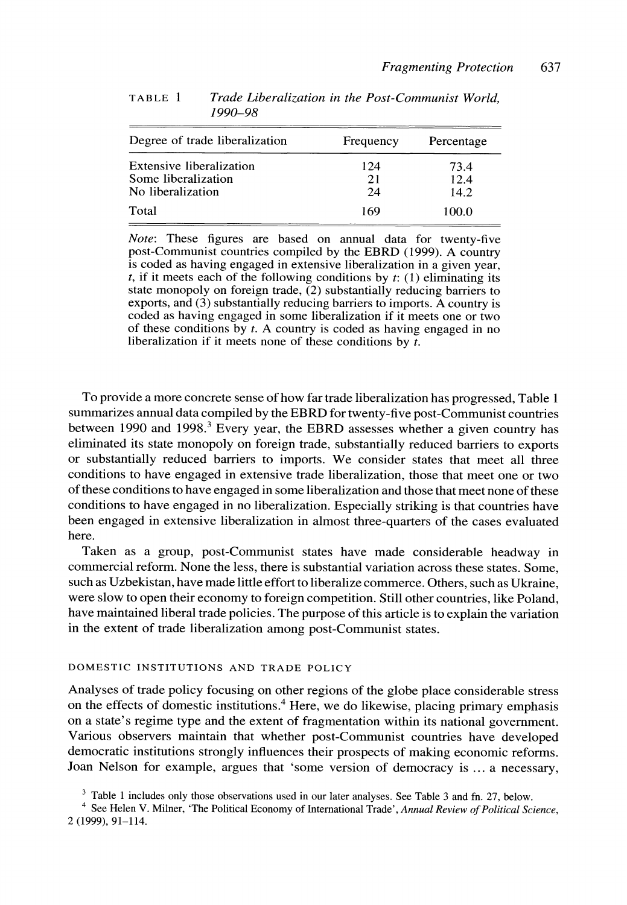| Degree of trade liberalization | Frequency | Percentage |  |
|--------------------------------|-----------|------------|--|
| Extensive liberalization       | 124       | 73.4       |  |
| Some liberalization            | 21        | 12.4       |  |
| No liberalization              | 24        | 14.2       |  |
| Total                          | 169       | 100.0      |  |

**TABLE 1 Trade Liberalization in the Post-Communist World, 1990-98** 

**Note: These figures are based on annual data for twenty-five post-Communist countries compiled by the EBRD (1999). A country is coded as having engaged in extensive liberalization in a given year, t, if it meets each of the following conditions by t: (1) eliminating its state monopoly on foreign trade, (2) substantially reducing barriers to exports, and (3) substantially reducing barriers to imports. A country is coded as having engaged in some liberalization if it meets one or two of these conditions by t. A country is coded as having engaged in no liberalization if it meets none of these conditions by t.** 

**To provide a more concrete sense of how far trade liberalization has progressed, Table 1 summarizes annual data compiled by the EBRD for twenty-five post-Communist countries between 1990 and 1998.3 Every year, the EBRD assesses whether a given country has eliminated its state monopoly on foreign trade, substantially reduced barriers to exports or substantially reduced barriers to imports. We consider states that meet all three conditions to have engaged in extensive trade liberalization, those that meet one or two of these conditions to have engaged in some liberalization and those that meet none of these conditions to have engaged in no liberalization. Especially striking is that countries have been engaged in extensive liberalization in almost three-quarters of the cases evaluated here.** 

**Taken as a group, post-Communist states have made considerable headway in commercial reform. None the less, there is substantial variation across these states. Some, such as Uzbekistan, have made little effort to liberalize commerce. Others, such as Ukraine, were slow to open their economy to foreign competition. Still other countries, like Poland, have maintained liberal trade policies. The purpose of this article is to explain the variation in the extent of trade liberalization among post-Communist states.** 

#### **DOMESTIC INSTITUTIONS AND TRADE POLICY**

**Analyses of trade policy focusing on other regions of the globe place considerable stress on the effects of domestic institutions.4 Here, we do likewise, placing primary emphasis on a state's regime type and the extent of fragmentation within its national government. Various observers maintain that whether post-Communist countries have developed democratic institutions strongly influences their prospects of making economic reforms. Joan Nelson for example, argues that 'some version of democracy is ... a necessary,** 

**<sup>3</sup> Table 1 includes only those observations used in our later analyses. See Table 3 and fn. 27, below.** 

**<sup>4</sup>See Helen V. Milner, 'The Political Economy of International Trade', Annual Review of Political Science, 2 (1999), 91-114.**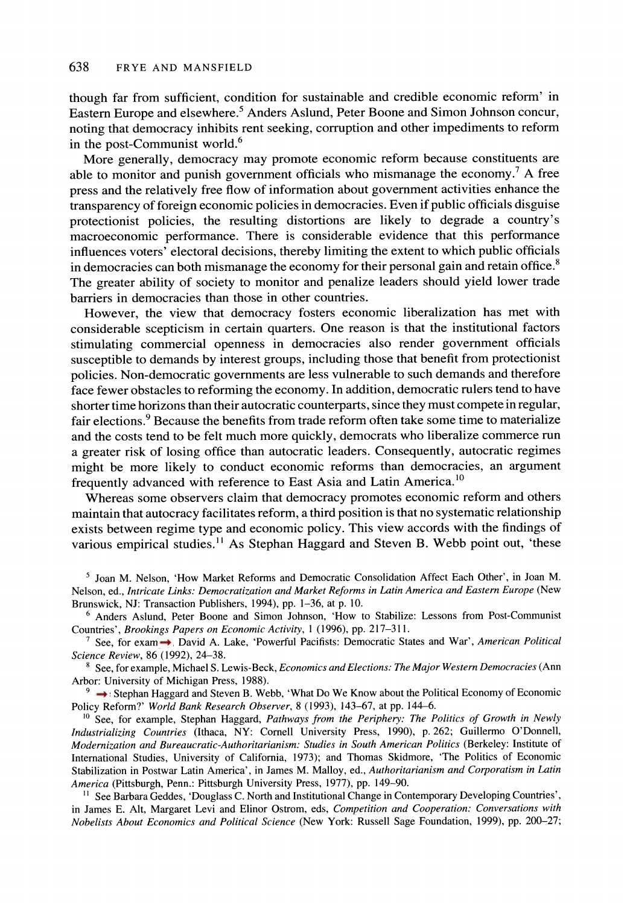**though far from sufficient, condition for sustainable and credible economic reform' in Eastern Europe and elsewhere.5 Anders Aslund, Peter Boone and Simon Johnson concur, noting that democracy inhibits rent seeking, corruption and other impediments to reform in the post-Communist world.6** 

**More generally, democracy may promote economic reform because constituents are able to monitor and punish government officials who mismanage the economy.7 A free press and the relatively free flow of information about government activities enhance the transparency of foreign economic policies in democracies. Even if public officials disguise protectionist policies, the resulting distortions are likely to degrade a country's macroeconomic performance. There is considerable evidence that this performance influences voters' electoral decisions, thereby limiting the extent to which public officials in democracies can both mismanage the economy for their personal gain and retain office.8 The greater ability of society to monitor and penalize leaders should yield lower trade barriers in democracies than those in other countries.** 

**However, the view that democracy fosters economic liberalization has met with considerable scepticism in certain quarters. One reason is that the institutional factors stimulating commercial openness in democracies also render government officials susceptible to demands by interest groups, including those that benefit from protectionist policies. Non-democratic governments are less vulnerable to such demands and therefore face fewer obstacles to reforming the economy. In addition, democratic rulers tend to have shorter time horizons than their autocratic counterparts, since they must compete in regular, fair elections.9 Because the benefits from trade reform often take some time to materialize and the costs tend to be felt much more quickly, democrats who liberalize commerce run a greater risk of losing office than autocratic leaders. Consequently, autocratic regimes might be more likely to conduct economic reforms than democracies, an argument frequently advanced with reference to East Asia and Latin America.'o** 

**Whereas some observers claim that democracy promotes economic reform and others maintain that autocracy facilitates reform, a third position is that no systematic relationship exists between regime type and economic policy. This view accords with the findings of various empirical studies." As Stephan Haggard and Steven B. Webb point out, 'these** 

**<sup>5</sup>Joan M. Nelson, 'How Market Reforms and Democratic Consolidation Affect Each Other', in Joan M. Nelson, ed., Intricate Links: Democratization and Market Reforms in Latin America and Eastern Europe (New Brunswick, NJ: Transaction Publishers, 1994), pp. 1-36, at p. 10.** 

**<sup>6</sup>Anders Aslund, Peter Boone and Simon Johnson, 'How to Stabilize: Lessons from Post-Communist Countries', Brookings Papers on Economic Activity, 1 (1996), pp. 217-311.** 

See, for exam→ David A. Lake, 'Powerful Pacifists: Democratic States and War', American Political **Science Review, 86 (1992), 24-38.** 

**8 See, for example, Michael S. Lewis-Beck, Economics and Elections: The Major Western Democracies (Ann Arbor: University of Michigan Press, 1988).** 

 $9 \rightarrow$  Stephan Haggard and Steven B. Webb, 'What Do We Know about the Political Economy of Economic **Policy Reform?' World Bank Research Observer, 8 (1993), 143-67, at pp. 144-6.** 

**<sup>10</sup>See, for example, Stephan Haggard, Pathways from the Periphery: The Politics of Growth in Newly Industrializing Countries (Ithaca, NY: Cornell University Press, 1990), p. 262; Guillermo O'Donnell, Modernization and Bureaucratic-Authoritarianism: Studies in South American Politics (Berkeley: Institute of International Studies, University of California, 1973); and Thomas Skidmore, 'The Politics of Economic Stabilization in Postwar Latin America', in James M. Malloy, ed., Authoritarianism and Corporatism in Latin America (Pittsburgh, Penn.: Pittsburgh University Press, 1977), pp. 149-90.** 

<sup>11</sup> See Barbara Geddes, 'Douglass C. North and Institutional Change in Contemporary Developing Countries', **in James E. Alt, Margaret Levi and Elinor Ostrom, eds, Competition and Cooperation: Conversations with Nobelists About Economics and Political Science (New York: Russell Sage Foundation, 1999), pp. 200-27;**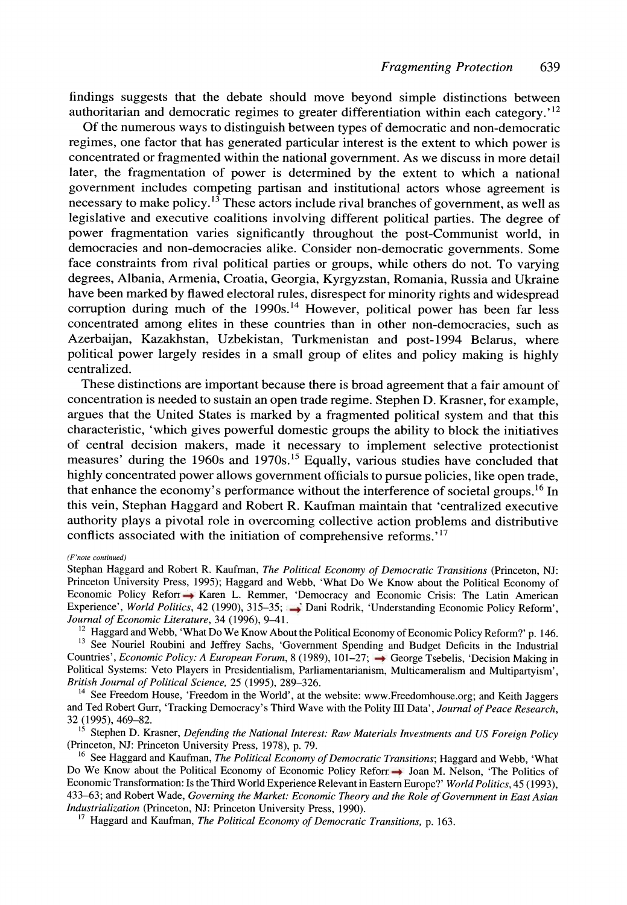**findings suggests that the debate should move beyond simple distinctions between**  authoritarian and democratic regimes to greater differentiation within each category.<sup>'12</sup>

**Of the numerous ways to distinguish between types of democratic and non-democratic regimes, one factor that has generated particular interest is the extent to which power is concentrated or fragmented within the national government. As we discuss in more detail later, the fragmentation of power is determined by the extent to which a national government includes competing partisan and institutional actors whose agreement is necessary to make policy.'3 These actors include rival branches of government, as well as legislative and executive coalitions involving different political parties. The degree of power fragmentation varies significantly throughout the post-Communist world, in democracies and non-democracies alike. Consider non-democratic governments. Some face constraints from rival political parties or groups, while others do not. To varying degrees, Albania, Armenia, Croatia, Georgia, Kyrgyzstan, Romania, Russia and Ukraine have been marked by flawed electoral rules, disrespect for minority rights and widespread corruption during much of the 1990s.14 However, political power has been far less concentrated among elites in these countries than in other non-democracies, such as Azerbaijan, Kazakhstan, Uzbekistan, Turkmenistan and post-1994 Belarus, where political power largely resides in a small group of elites and policy making is highly centralized.** 

**These distinctions are important because there is broad agreement that a fair amount of concentration is needed to sustain an open trade regime. Stephen D. Krasner, for example, argues that the United States is marked by a fragmented political system and that this characteristic, 'which gives powerful domestic groups the ability to block the initiatives of central decision makers, made it necessary to implement selective protectionist**  measures' during the 1960s and 1970s.<sup>15</sup> Equally, various studies have concluded that **highly concentrated power allows government officials to pursue policies, like open trade, that enhance the economy's performance without the interference of societal groups.'6 In this vein, Stephan Haggard and Robert R. Kaufman maintain that 'centralized executive authority plays a pivotal role in overcoming collective action problems and distributive conflicts associated with the initiation of comprehensive reforms.'17** 

#### **(F'note continued)**

**Stephan Haggard and Robert R. Kaufman, The Political Economy of Democratic Transitions (Princeton, NJ: Princeton University Press, 1995); Haggard and Webb, 'What Do We Know about the Political Economy of**  Economic Policy Reforr  $\rightarrow$  Karen L. Remmer, 'Democracy and Economic Crisis: The Latin American Experience', World Politics, 42 (1990), 315-35; **All Dani Rodrik, 'Understanding Economic Policy Reform'**, **Journal of Economic Literature, 34 (1996), 9-41.** 

<sup>12</sup> Haggard and Webb, 'What Do We Know About the Political Economy of Economic Policy Reform?' p. 146. <sup>13</sup> See Nouriel Roubini and Jeffrey Sachs, 'Government Spending and Budget Deficits in the Industrial Countries', *Economic Policy: A European Forum*, 8 (1989), 101–27; → George Tsebelis, 'Decision Making in **Political Systems: Veto Players in Presidentialism, Parliamentarianism, Multicameralism and Multipartyism', British Journal of Political Science, 25 (1995), 289-326.** 

<sup>14</sup> See Freedom House, 'Freedom in the World', at the website: www.Freedomhouse.org; and Keith Jaggers **and Ted Robert Gurr, 'Tracking Democracy's Third Wave with the Polity III Data', Journal of Peace Research, 32 (1995), 469-82.** 

<sup>15</sup> Stephen D. Krasner, Defending the National Interest: Raw Materials Investments and US Foreign Policy **(Princeton, NJ: Princeton University Press, 1978), p. 79.** 

<sup>16</sup> See Haggard and Kaufman, *The Political Economy of Democratic Transitions*; Haggard and Webb, 'What Do We Know about the Political Economy of Economic Policy Reform  $\rightarrow$  Joan M. Nelson, 'The Politics of **Economic Transformation: Is the Third World Experience Relevant in Eastern Europe?' World Politics, 45 (1993), 433-63; and Robert Wade, Governing the Market: Economic Theory and the Role of Government in East Asian Industrialization (Princeton, NJ: Princeton University Press, 1990).** 

<sup>17</sup> Haggard and Kaufman, *The Political Economy of Democratic Transitions*, p. 163.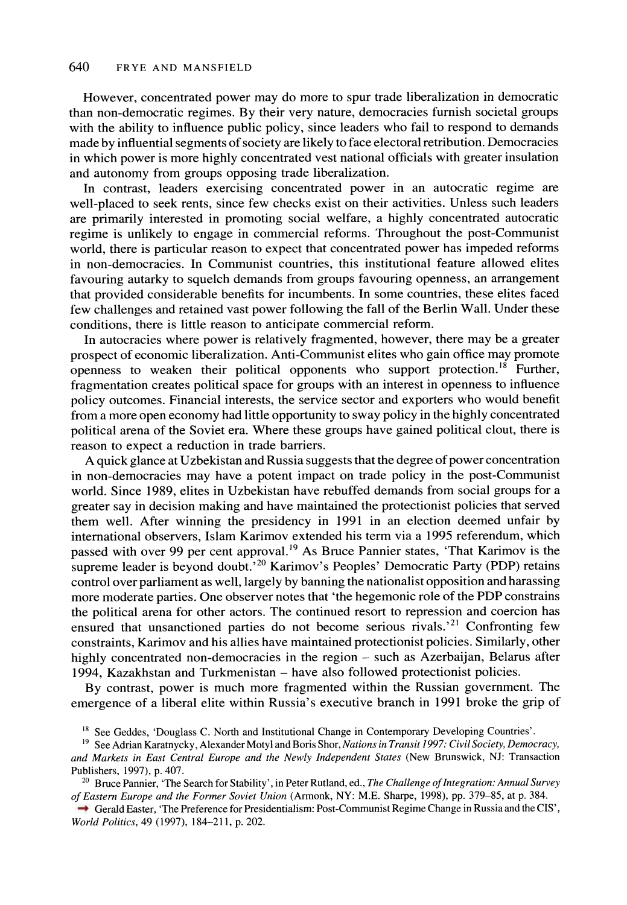#### **640 FRYE AND MANSFIELD**

**However, concentrated power may do more to spur trade liberalization in democratic than non-democratic regimes. By their very nature, democracies furnish societal groups with the ability to influence public policy, since leaders who fail to respond to demands made by influential segments of society are likely to face electoral retribution. Democracies in which power is more highly concentrated vest national officials with greater insulation and autonomy from groups opposing trade liberalization.** 

**In contrast, leaders exercising concentrated power in an autocratic regime are well-placed to seek rents, since few checks exist on their activities. Unless such leaders are primarily interested in promoting social welfare, a highly concentrated autocratic regime is unlikely to engage in commercial reforms. Throughout the post-Communist world, there is particular reason to expect that concentrated power has impeded reforms in non-democracies. In Communist countries, this institutional feature allowed elites favouring autarky to squelch demands from groups favouring openness, an arrangement that provided considerable benefits for incumbents. In some countries, these elites faced few challenges and retained vast power following the fall of the Berlin Wall. Under these conditions, there is little reason to anticipate commercial reform.** 

**In autocracies where power is relatively fragmented, however, there may be a greater prospect of economic liberalization. Anti-Communist elites who gain office may promote openness to weaken their political opponents who support protection."8 Further, fragmentation creates political space for groups with an interest in openness to influence policy outcomes. Financial interests, the service sector and exporters who would benefit from a more open economy had little opportunity to sway policy in the highly concentrated political arena of the Soviet era. Where these groups have gained political clout, there is reason to expect a reduction in trade barriers.** 

**A quick glance at Uzbekistan and Russia suggests that the degree of power concentration in non-democracies may have a potent impact on trade policy in the post-Communist world. Since 1989, elites in Uzbekistan have rebuffed demands from social groups for a greater say in decision making and have maintained the protectionist policies that served them well. After winning the presidency in 1991 in an election deemed unfair by international observers, Islam Karimov extended his term via a 1995 referendum, which passed with over 99 per cent approval.19 As Bruce Pannier states, 'That Karimov is the**  supreme leader is beyond doubt.<sup>520</sup> Karimov's Peoples' Democratic Party (PDP) retains **control over parliament as well, largely by banning the nationalist opposition and harassing more moderate parties. One observer notes that 'the hegemonic role of the PDP constrains the political arena for other actors. The continued resort to repression and coercion has ensured that unsanctioned parties do not become serious rivals.'21 Confronting few constraints, Karimov and his allies have maintained protectionist policies. Similarly, other**  highly concentrated non-democracies in the region – such as Azerbaijan, Belarus after 1994, Kazakhstan and Turkmenistan – have also followed protectionist policies.

**By contrast, power is much more fragmented within the Russian government. The emergence of a liberal elite within Russia's executive branch in 1991 broke the grip of** 

<sup>18</sup> See Geddes, 'Douglass C. North and Institutional Change in Contemporary Developing Countries'.

→ Gerald Easter, 'The Preference for Presidentialism: Post-Communist Regime Change in Russia and the CIS', **World Politics, 49 (1997), 184-211, p. 202.** 

**<sup>19</sup> See Adrian Karatnycky, Alexander Motyl and Boris Shor, Nations in Transit 1997: Civil Society, Democracy, and Markets in East Central Europe and the Newly Independent States (New Brunswick, NJ: Transaction Publishers, 1997), p. 407.** 

<sup>&</sup>lt;sup>20</sup> Bruce Pannier, 'The Search for Stability', in Peter Rutland, ed., *The Challenge of Integration: Annual Survey* **of Eastern Europe and the Former Soviet Union (Armonk, NY: M.E. Sharpe, 1998), pp. 379-85, at p. 384.**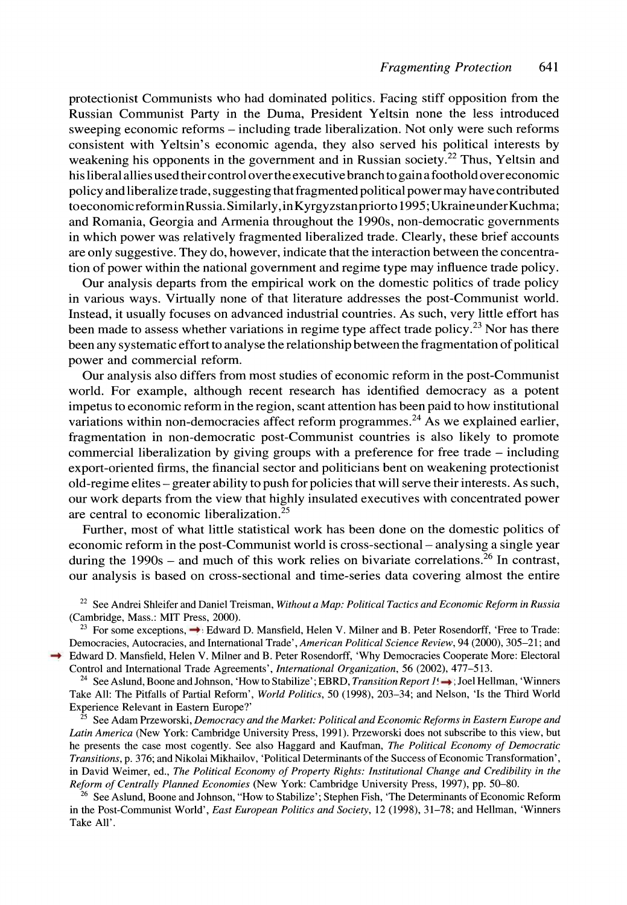**protectionist Communists who had dominated politics. Facing stiff opposition from the Russian Communist Party in the Duma, President Yeltsin none the less introduced sweeping economic reforms - including trade liberalization. Not only were such reforms consistent with Yeltsin's economic agenda, they also served his political interests by weakening his opponents in the government and in Russian society.22 Thus, Yeltsin and his liberal allies used their control over the executive branch to gain a foothold over economic policy and liberalize trade, suggesting that fragmented political power may have contributed to economic reformin Russia. Similarly, in Kyrgyzstan priorto 1995; Ukraine underKuchma; and Romania, Georgia and Armenia throughout the 1990s, non-democratic governments in which power was relatively fragmented liberalized trade. Clearly, these brief accounts are only suggestive. They do, however, indicate that the interaction between the concentration of power within the national government and regime type may influence trade policy.** 

**Our analysis departs from the empirical work on the domestic politics of trade policy in various ways. Virtually none of that literature addresses the post-Communist world. Instead, it usually focuses on advanced industrial countries. As such, very little effort has**  been made to assess whether variations in regime type affect trade policy.<sup>23</sup> Nor has there **been any systematic effort to analyse the relationship between the fragmentation of political power and commercial reform.** 

**Our analysis also differs from most studies of economic reform in the post-Communist world. For example, although recent research has identified democracy as a potent impetus to economic reform in the region, scant attention has been paid to how institutional variations within non-democracies affect reform programmes.24 As we explained earlier, fragmentation in non-democratic post-Communist countries is also likely to promote commercial liberalization by giving groups with a preference for free trade - including export-oriented firms, the financial sector and politicians bent on weakening protectionist old-regime elites - greater ability to push for policies that will serve their interests. As such, our work departs from the view that highly insulated executives with concentrated power are central to economic liberalization.25** 

**Further, most of what little statistical work has been done on the domestic politics of economic reform in the post-Communist world is cross-sectional - analysing a single year**  during the 1990s – and much of this work relies on bivariate correlations.<sup>26</sup> In contrast, **our analysis is based on cross-sectional and time-series data covering almost the entire** 

**<sup>22</sup>See Andrei Shleifer and Daniel Treisman, Without a Map: Political Tactics and Economic Reform in Russia (Cambridge, Mass.: MIT Press, 2000).** 

 $23$  For some exceptions,  $\rightarrow$  Edward D. Mansfield, Helen V. Milner and B. Peter Rosendorff, 'Free to Trade: **Democracies, Autocracies, and International Trade', American Political Science Review, 94 (2000), 305-21; and Edward D. Mansfield, Helen V. Milner and B. Peter Rosendorff, 'Why Democracies Cooperate More: Electoral Control and International Trade Agreements', International Organization, 56 (2002), 477-513.** 

<sup>24</sup> See Aslund, Boone and Johnson, 'How to Stabilize'; EBRD, *Transition Report 1*  $\rightarrow$  Joel Hellman, 'Winners **Take All: The Pitfalls of Partial Reform', World Politics, 50 (1998), 203-34; and Nelson, 'Is the Third World Experience Relevant in Eastern Europe?'** 

**25 See Adam Przeworski, Democracy and the Market: Political and Economic Reforms in Eastern Europe and Latin America (New York: Cambridge University Press, 1991). Przeworski does not subscribe to this view, but he presents the case most cogently. See also Haggard and Kaufman, The Political Economy of Democratic Transitions, p. 376; and Nikolai Mikhailov, 'Political Determinants of the Success of Economic Transformation', in David Weimer, ed., The Political Economy of Property Rights: Institutional Change and Credibility in the Reform of Centrally Planned Economies (New York: Cambridge University Press, 1997), pp. 50-80.** 

**26 See Aslund, Boone and Johnson, "How to Stabilize'; Stephen Fish, 'The Determinants of Economic Reform in the Post-Communist World', East European Politics and Society, 12 (1998), 31-78; and Hellman, 'Winners Take All'.**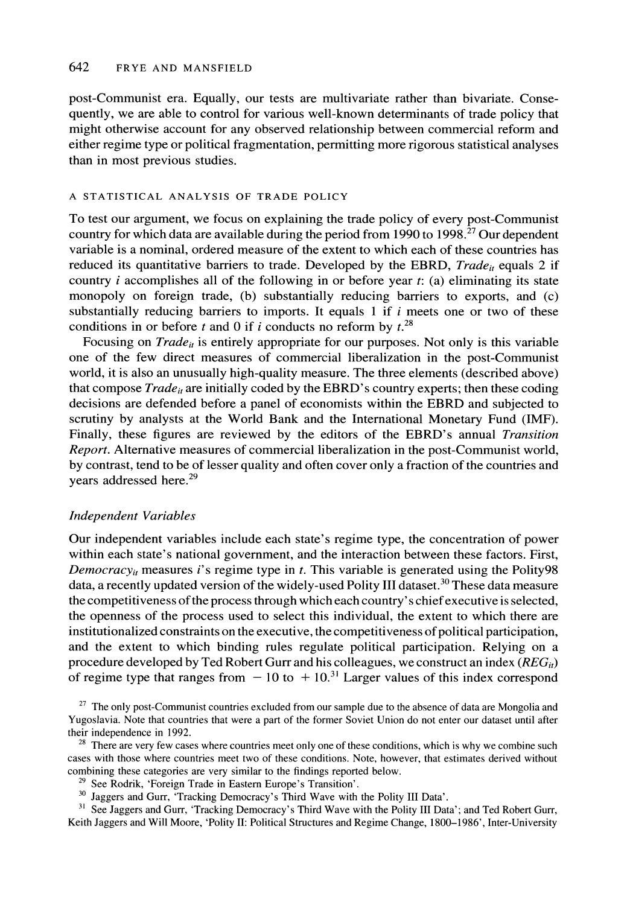## **642 FRYE AND MANSFIELD**

**post-Communist era. Equally, our tests are multivariate rather than bivariate. Consequently, we are able to control for various well-known determinants of trade policy that might otherwise account for any observed relationship between commercial reform and either regime type or political fragmentation, permitting more rigorous statistical analyses than in most previous studies.** 

#### **A STATISTICAL ANALYSIS OF TRADE POLICY**

**To test our argument, we focus on explaining the trade policy of every post-Communist country for which data are available during the period from 1990 to 1998.27 Our dependent variable is a nominal, ordered measure of the extent to which each of these countries has**  reduced its quantitative barriers to trade. Developed by the EBRD,  $Trade_{ii}$  equals 2 if **country i accomplishes all of the following in or before year t: (a) eliminating its state monopoly on foreign trade, (b) substantially reducing barriers to exports, and (c) substantially reducing barriers to imports. It equals 1 if i meets one or two of these**  conditions in or before t and 0 if i conducts no reform by  $t^{28}$ 

Focusing on *Trade<sub>li</sub>* is entirely appropriate for our purposes. Not only is this variable **one of the few direct measures of commercial liberalization in the post-Communist world, it is also an unusually high-quality measure. The three elements (described above)**  that compose  $Trade_{it}$  are initially coded by the EBRD's country experts; then these coding **decisions are defended before a panel of economists within the EBRD and subjected to scrutiny by analysts at the World Bank and the International Monetary Fund (IMF). Finally, these figures are reviewed by the editors of the EBRD's annual Transition Report. Alternative measures of commercial liberalization in the post-Communist world, by contrast, tend to be of lesser quality and often cover only a fraction of the countries and years addressed here.29** 

#### **Independent Variables**

**Our independent variables include each state's regime type, the concentration of power within each state's national government, and the interaction between these factors. First, Democracyi, measures i's regime type in t. This variable is generated using the Polity98 data, a recently updated version of the widely-used Polity III dataset.30 These data measure the competitiveness of the process through which each country' s chief executive is selected, the openness of the process used to select this individual, the extent to which there are institutionalized constraints on the executive, the competitiveness of political participation, and the extent to which binding rules regulate political participation. Relying on a**  procedure developed by Ted Robert Gurr and his colleagues, we construct an index  $(REG_{ii})$ of regime type that ranges from  $-10$  to  $+10<sup>31</sup>$  Larger values of this index correspond

**<sup>27</sup>The only post-Communist countries excluded from our sample due to the absence of data are Mongolia and Yugoslavia. Note that countries that were a part of the former Soviet Union do not enter our dataset until after their independence in 1992.** 

**<sup>28</sup>There are very few cases where countries meet only one of these conditions, which is why we combine such cases with those where countries meet two of these conditions. Note, however, that estimates derived without combining these categories are very similar to the findings reported below.** 

**<sup>29</sup>See Rodrik, 'Foreign Trade in Eastern Europe's Transition'.** 

<sup>30</sup> Jaggers and Gurr, 'Tracking Democracy's Third Wave with the Polity III Data'.

<sup>31</sup> See Jaggers and Gurr, 'Tracking Democracy's Third Wave with the Polity III Data'; and Ted Robert Gurr, **Keith Jaggers and Will Moore, 'Polity II: Political Structures and Regime Change, 1800-1986', Inter-University**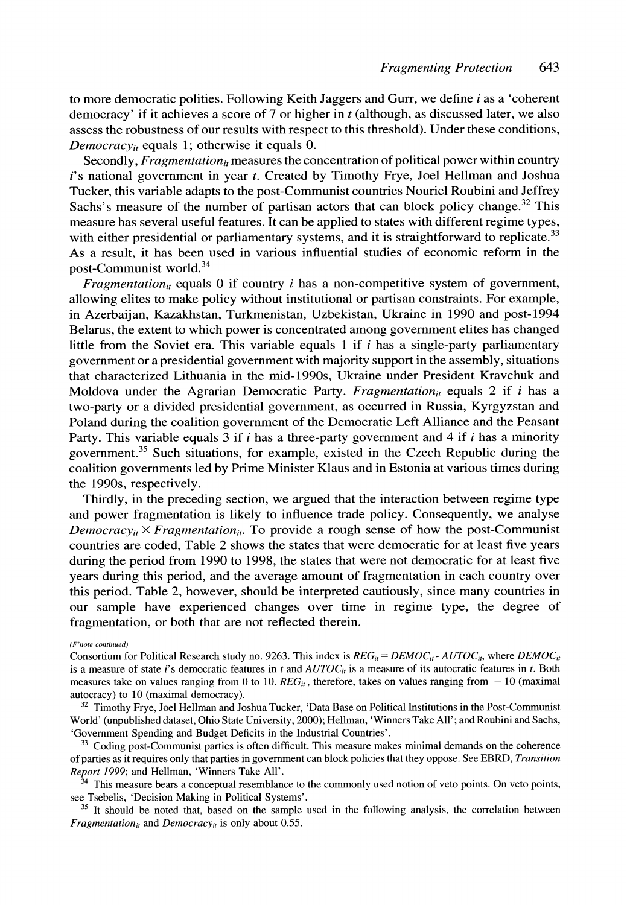**to more democratic polities. Following Keith Jaggers and Gurr, we define i as a 'coherent democracy' if it achieves a score of 7 or higher in t (although, as discussed later, we also assess the robustness of our results with respect to this threshold). Under these conditions, Democracyi, equals 1; otherwise it equals 0.** 

Secondly, *Fragmentation*<sub>it</sub> measures the concentration of political power within country i's national government in year t. Created by Timothy Frye, Joel Hellman and Joshua **Tucker, this variable adapts to the post-Communist countries Nouriel Roubini and Jeffrey**  Sachs's measure of the number of partisan actors that can block policy change.<sup>32</sup> This **measure has several useful features. It can be applied to states with different regime types,**  with either presidential or parliamentary systems, and it is straightforward to replicate.<sup>33</sup> **As a result, it has been used in various influential studies of economic reform in the post-Communist world.34** 

Fragmentation<sub>it</sub> equals 0 if country *i* has a non-competitive system of government, **allowing elites to make policy without institutional or partisan constraints. For example, in Azerbaijan, Kazakhstan, Turkmenistan, Uzbekistan, Ukraine in 1990 and post-1994 Belarus, the extent to which power is concentrated among government elites has changed little from the Soviet era. This variable equals 1 if i has a single-party parliamentary government or a presidential government with majority support in the assembly, situations that characterized Lithuania in the mid-1990s, Ukraine under President Kravchuk and**  Moldova under the Agrarian Democratic Party. *Fragmentation<sub>ii</sub>* equals 2 if *i* has a **two-party or a divided presidential government, as occurred in Russia, Kyrgyzstan and Poland during the coalition government of the Democratic Left Alliance and the Peasant Party. This variable equals 3 if i has a three-party government and 4 if i has a minority government.35 Such situations, for example, existed in the Czech Republic during the coalition governments led by Prime Minister Klaus and in Estonia at various times during the 1990s, respectively.** 

**Thirdly, in the preceding section, we argued that the interaction between regime type and power fragmentation is likely to influence trade policy. Consequently, we analyse**  Democracy<sub>it</sub>  $\times$  Fragmentation<sub>it</sub>. To provide a rough sense of how the post-Communist **countries are coded, Table 2 shows the states that were democratic for at least five years during the period from 1990 to 1998, the states that were not democratic for at least five years during this period, and the average amount of fragmentation in each country over this period. Table 2, however, should be interpreted cautiously, since many countries in our sample have experienced changes over time in regime type, the degree of fragmentation, or both that are not reflected therein.** 

**<sup>32</sup>Timothy Frye, Joel Hellman and Joshua Tucker, 'Data Base on Political Institutions in the Post-Communist World' (unpublished dataset, Ohio State University, 2000); Hellman, 'Winners Take All'; and Roubini and Sachs, 'Government Spending and Budget Deficits in the Industrial Countries'.** 

**33 Coding post-Communist parties is often difficult. This measure makes minimal demands on the coherence of parties as it requires only that parties in government can block policies that they oppose. See EBRD, Transition Report 1999; and Hellman, 'Winners Take All'.** 

**<sup>34</sup>This measure bears a conceptual resemblance to the commonly used notion of veto points. On veto points, see Tsebelis, 'Decision Making in Political Systems'.** 

**35 It should be noted that, based on the sample used in the following analysis, the correlation between**  *Fragmentation*<sup> $it$ </sup> and *Democracy*<sup> $it$ </sup> is only about 0.55.

**<sup>(</sup>F'note continued)** 

Consortium for Political Research study no. 9263. This index is  $REG_{it} = DEMOC_{it} - AUTOC_{it}$ , where  $DEMOC_{it}$ is a measure of state i's democratic features in t and  $AUTOC<sub>ti</sub>$  is a measure of its autocratic features in t. Both measures take on values ranging from 0 to 10.  $REG_{ii}$ , therefore, takes on values ranging from  $-10$  (maximal **autocracy) to 10 (maximal democracy).**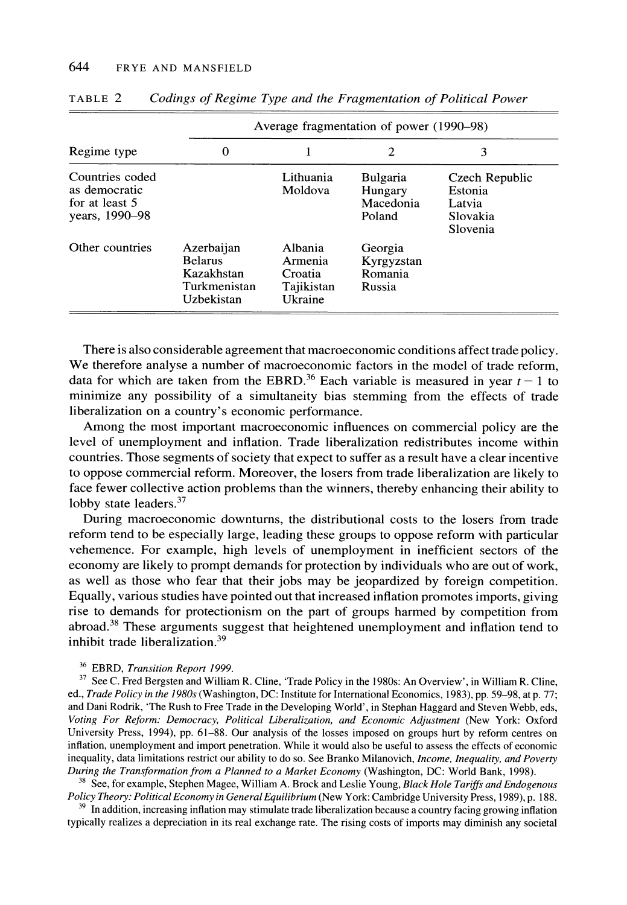|                                                                      | Average fragmentation of power (1990–98)                                 |                                                        |                                                   |                                                             |
|----------------------------------------------------------------------|--------------------------------------------------------------------------|--------------------------------------------------------|---------------------------------------------------|-------------------------------------------------------------|
| Regime type                                                          | 0                                                                        |                                                        | 2                                                 | 3                                                           |
| Countries coded<br>as democratic<br>for at least 5<br>years, 1990-98 |                                                                          | Lithuania<br>Moldova                                   | <b>Bulgaria</b><br>Hungary<br>Macedonia<br>Poland | Czech Republic<br>Estonia<br>Latvia<br>Slovakia<br>Slovenia |
| Other countries                                                      | Azerbaijan<br><b>Belarus</b><br>Kazakhstan<br>Turkmenistan<br>Uzbekistan | Albania<br>Armenia<br>Croatia<br>Tajikistan<br>Ukraine | Georgia<br>Kyrgyzstan<br>Romania<br>Russia        |                                                             |

**TABLE 2 Codings of Regime Type and the Fragmentation of Political Power** 

**There is also considerable agreement that macroeconomic conditions affect trade policy. We therefore analyse a number of macroeconomic factors in the model of trade reform,**  data for which are taken from the EBRD.<sup>36</sup> Each variable is measured in year  $t - 1$  to **minimize any possibility of a simultaneity bias stemming from the effects of trade liberalization on a country's economic performance.** 

**Among the most important macroeconomic influences on commercial policy are the level of unemployment and inflation. Trade liberalization redistributes income within countries. Those segments of society that expect to suffer as a result have a clear incentive to oppose commercial reform. Moreover, the losers from trade liberalization are likely to face fewer collective action problems than the winners, thereby enhancing their ability to lobby state leaders.37** 

**During macroeconomic downturns, the distributional costs to the losers from trade reform tend to be especially large, leading these groups to oppose reform with particular vehemence. For example, high levels of unemployment in inefficient sectors of the economy are likely to prompt demands for protection by individuals who are out of work, as well as those who fear that their jobs may be jeopardized by foreign competition. Equally, various studies have pointed out that increased inflation promotes imports, giving rise to demands for protectionism on the part of groups harmed by competition from abroad.38 These arguments suggest that heightened unemployment and inflation tend to inhibit trade liberalization.39** 

### **36 EBRD, Transition Report 1999.**

**37 See C. Fred Bergsten and William R. Cline, 'Trade Policy in the 1980s: An Overview', in William R. Cline, ed., Trade Policy in the 1980s (Washington, DC: Institute for International Economics, 1983), pp. 59-98, at p. 77; and Dani Rodrik, 'The Rush to Free Trade in the Developing World', in Stephan Haggard and Steven Webb, eds, Voting For Reform: Democracy, Political Liberalization, and Economic Adjustment (New York: Oxford University Press, 1994), pp. 61-88. Our analysis of the losses imposed on groups hurt by reform centres on inflation, unemployment and import penetration. While it would also be useful to assess the effects of economic inequality, data limitations restrict our ability to do so. See Branko Milanovich, Income, Inequality, and Poverty During the Transformation from a Planned to a Market Economy (Washington, DC: World Bank, 1998).** 

**<sup>38</sup>See, for example, Stephen Magee, William A. Brock and Leslie Young, Black Hole Tariffs and Endogenous Policy Theory: Political Economy in General Equilibrium (New York: Cambridge University Press, 1989), p. 188.** 

**39 In addition, increasing inflation may stimulate trade liberalization because a country facing growing inflation typically realizes a depreciation in its real exchange rate. The rising costs of imports may diminish any societal**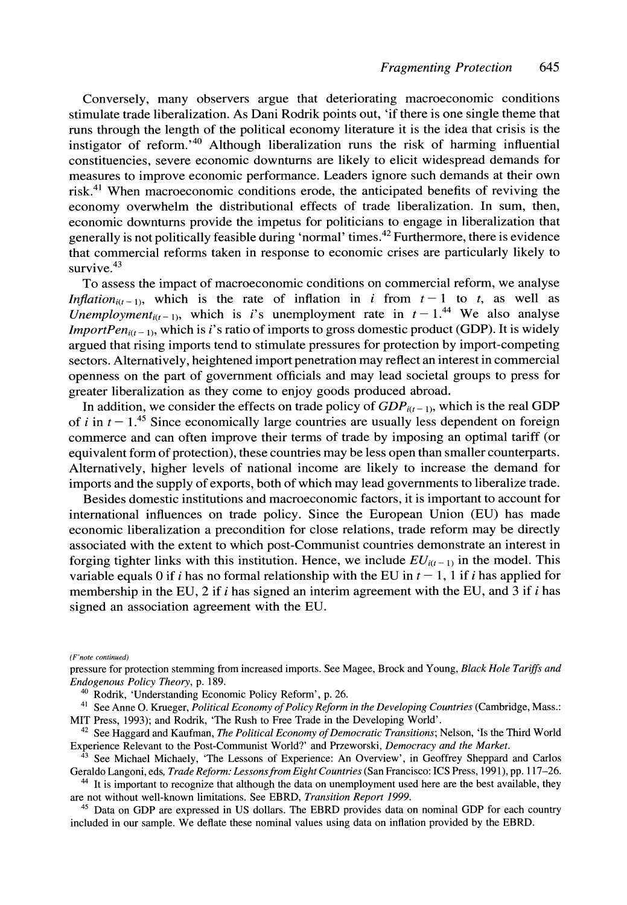**Conversely, many observers argue that deteriorating macroeconomic conditions stimulate trade liberalization. As Dani Rodrik points out, 'if there is one single theme that runs through the length of the political economy literature it is the idea that crisis is the instigator of reform.'40 Although liberalization runs the risk of harming influential constituencies, severe economic downturns are likely to elicit widespread demands for measures to improve economic performance. Leaders ignore such demands at their own risk.41 When macroeconomic conditions erode, the anticipated benefits of reviving the economy overwhelm the distributional effects of trade liberalization. In sum, then, economic downturns provide the impetus for politicians to engage in liberalization that generally is not politically feasible during 'normal' times.42 Furthermore, there is evidence that commercial reforms taken in response to economic crises are particularly likely to survive.43** 

**To assess the impact of macroeconomic conditions on commercial reform, we analyse Inflation**<sub>i(t-1)</sub>, which is the rate of inflation in *i* from  $t-1$  to *t*, as well as Unemployment<sub>i(t-1)</sub>, which is *i*'s unemployment rate in  $t-1$ .<sup>44</sup> We also analyse *ImportPen<sub>i(t-1)</sub>, which is i's ratio of imports to gross domestic product (GDP). It is widely* **argued that rising imports tend to stimulate pressures for protection by import-competing sectors. Alternatively, heightened import penetration may reflect an interest in commercial openness on the part of government officials and may lead societal groups to press for greater liberalization as they come to enjoy goods produced abroad.** 

In addition, we consider the effects on trade policy of  $GDP_{it-1}$ , which is the real GDP of i in  $t - 1$ <sup>45</sup> Since economically large countries are usually less dependent on foreign **commerce and can often improve their terms of trade by imposing an optimal tariff (or equivalent form of protection), these countries may be less open than smaller counterparts. Alternatively, higher levels of national income are likely to increase the demand for imports and the supply of exports, both of which may lead governments to liberalize trade.** 

**Besides domestic institutions and macroeconomic factors, it is important to account for international influences on trade policy. Since the European Union (EU) has made economic liberalization a precondition for close relations, trade reform may be directly associated with the extent to which post-Communist countries demonstrate an interest in**  forging tighter links with this institution. Hence, we include  $EU_{i(t-1)}$  in the model. This variable equals 0 if i has no formal relationship with the EU in  $t - 1$ , 1 if i has applied for **membership in the EU, 2 if i has signed an interim agreement with the EU, and 3 if i has signed an association agreement with the EU.** 

**(F'note continued)** 

**<sup>40</sup>Rodrik, 'Understanding Economic Policy Reform', p. 26.** 

**<sup>44</sup>It is important to recognize that although the data on unemployment used here are the best available, they are not without well-known limitations. See EBRD, Transition Report 1999.** 

**45 Data on GDP are expressed in US dollars. The EBRD provides data on nominal GDP for each country included in our sample. We deflate these nominal values using data on inflation provided by the EBRD.** 

**pressure for protection stemming from increased imports. See Magee, Brock and Young, Black Hole Tariffs and Endogenous Policy Theory, p. 189.** 

**<sup>41</sup>See Anne O. Krueger, Political Economy of Policy Reform in the Developing Countries (Cambridge, Mass.: MIT Press, 1993); and Rodrik, 'The Rush to Free Trade in the Developing World'.** 

**<sup>42</sup>See Haggard and Kaufman, The Political Economy of Democratic Transitions; Nelson, 'Is the Third World Experience Relevant to the Post-Communist World?' and Przeworski, Democracy and the Market.** 

**<sup>43</sup> See Michael Michaely, 'The Lessons of Experience: An Overview', in Geoffrey Sheppard and Carlos**  Geraldo Langoni, eds, Trade Reform: Lessons from Eight Countries (San Francisco: ICS Press, 1991), pp. 117-26.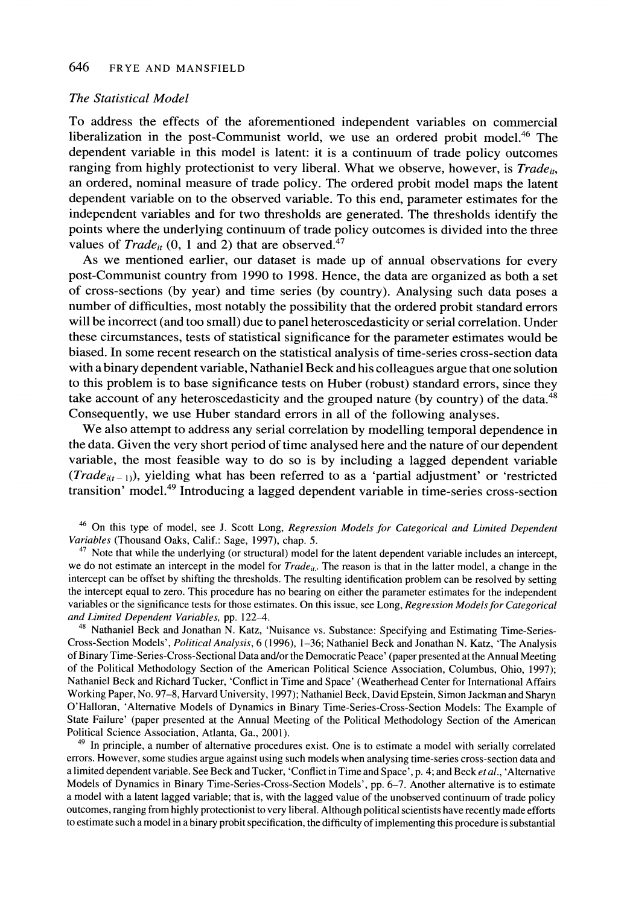## **The Statistical Model**

**To address the effects of the aforementioned independent variables on commercial liberalization in the post-Communist world, we use an ordered probit model.46 The dependent variable in this model is latent: it is a continuum of trade policy outcomes**  ranging from highly protectionist to very liberal. What we observe, however, is *Trade<sub>it</sub>*, **an ordered, nominal measure of trade policy. The ordered probit model maps the latent dependent variable on to the observed variable. To this end, parameter estimates for the independent variables and for two thresholds are generated. The thresholds identify the points where the underlying continuum of trade policy outcomes is divided into the three**  values of  $Trade_{it}$  (0, 1 and 2) that are observed.<sup>47</sup>

**As we mentioned earlier, our dataset is made up of annual observations for every post-Communist country from 1990 to 1998. Hence, the data are organized as both a set of cross-sections (by year) and time series (by country). Analysing such data poses a number of difficulties, most notably the possibility that the ordered probit standard errors will be incorrect (and too small) due to panel heteroscedasticity or serial correlation. Under these circumstances, tests of statistical significance for the parameter estimates would be biased. In some recent research on the statistical analysis of time-series cross-section data with a binary dependent variable, Nathaniel Beck and his colleagues argue that one solution to this problem is to base significance tests on Huber (robust) standard errors, since they take account of any heteroscedasticity and the grouped nature (by country) of the data.48 Consequently, we use Huber standard errors in all of the following analyses.** 

**We also attempt to address any serial correlation by modelling temporal dependence in the data. Given the very short period of time analysed here and the nature of our dependent variable, the most feasible way to do so is by including a lagged dependent variable**   $(Trade_{i(t-1)})$ , yielding what has been referred to as a 'partial adjustment' or 'restricted **transition' model.49 Introducing a lagged dependent variable in time-series cross-section** 

**<sup>46</sup>On this type of model, see J. Scott Long, Regression Models for Categorical and Limited Dependent Variables (Thousand Oaks, Calif.: Sage, 1997), chap. 5.** 

**47 Note that while the underlying (or structural) model for the latent dependent variable includes an intercept,**  we do not estimate an intercept in the model for  $Trade_{it}$ . The reason is that in the latter model, a change in the  $interface$  by objective the thresholds. The resulting identification rephlam son he resolved by estimation **intercept can be offset by shifting the thresholds. The resulting identification problem can be resolved by setting the intercept equal to zero. This procedure has no bearing on either the parameter estimates for the independent variables or the significance tests for those estimates. On this issue, see Long, Regression Models for Categorical and Limited Dependent Variables, pp. 122-4.** 

**48 Nathaniel Beck and Jonathan N. Katz, 'Nuisance vs. Substance: Specifying and Estimating Time-Series-Cross-Section Models', Political Analysis, 6 (1996), 1-36; Nathaniel Beck and Jonathan N. Katz, 'The Analysis of Binary Time-Series-Cross-Sectional Data and/or the Democratic Peace' (paper presented at the Annual Meeting of the Political Methodology Section of the American Political Science Association, Columbus, Ohio, 1997); Nathaniel Beck and Richard Tucker, 'Conflict in Time and Space' (Weatherhead Center for International Affairs Working Paper, No. 97-8, Harvard University, 1997); Nathaniel Beck, David Epstein, Simon Jackman and Sharyn O'Halloran, 'Alternative Models of Dynamics in Binary Time-Series-Cross-Section Models: The Example of State Failure' (paper presented at the Annual Meeting of the Political Methodology Section of the American Political Science Association, Atlanta, Ga., 2001).** 

**49 In principle, a number of alternative procedures exist. One is to estimate a model with serially correlated errors. However, some studies argue against using such models when analysing time-series cross-section data and a limited dependent variable. See Beck and Tucker, 'Conflict in Time and Space', p. 4; and Beck et al., 'Alternative Models of Dynamics in Binary Time-Series-Cross-Section Models', pp. 6-7. Another alternative is to estimate a model with a latent lagged variable; that is, with the lagged value of the unobserved continuum of trade policy outcomes, ranging from highly protectionist to very liberal. Although political scientists have recently made efforts to estimate such a model in a binary probit specification, the difficulty of implementing this procedure is substantial**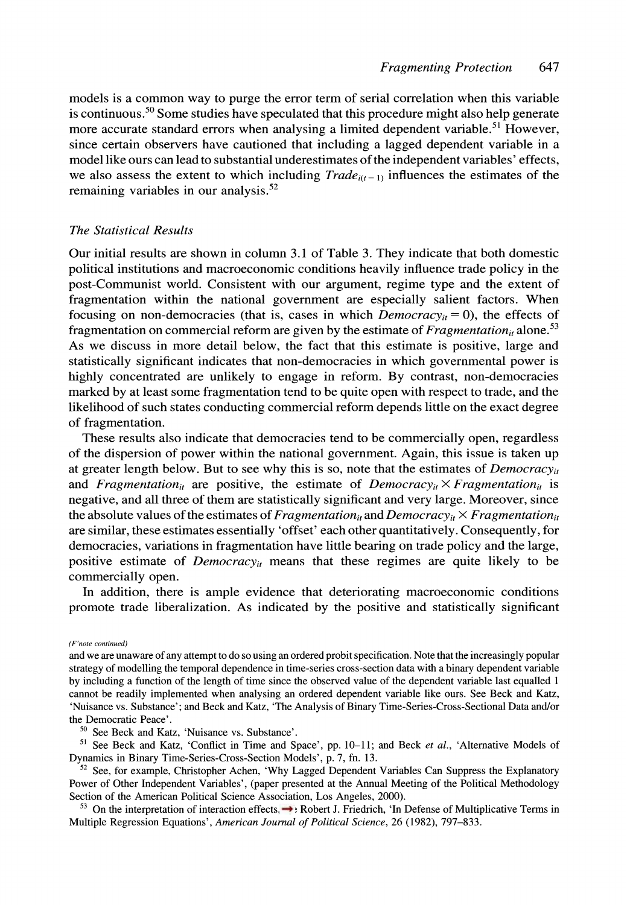**models is a common way to purge the error term of serial correlation when this variable is continuous.50 Some studies have speculated that this procedure might also help generate more accurate standard errors when analysing a limited dependent variable.51 However, since certain observers have cautioned that including a lagged dependent variable in a model like ours can lead to substantial underestimates of the independent variables' effects,**  we also assess the extent to which including  $Trade_{i(t-1)}$  influences the estimates of the **remaining variables in our analysis.52** 

## **The Statistical Results**

**Our initial results are shown in column 3.1 of Table 3. They indicate that both domestic political institutions and macroeconomic conditions heavily influence trade policy in the post-Communist world. Consistent with our argument, regime type and the extent of fragmentation within the national government are especially salient factors. When**  focusing on non-democracies (that is, cases in which  $Democracy<sub>it</sub> = 0$ ), the effects of fragmentation on commercial reform are given by the estimate of  $Fragmentation<sub>it</sub>$  alone.<sup>53</sup> **As we discuss in more detail below, the fact that this estimate is positive, large and statistically significant indicates that non-democracies in which governmental power is highly concentrated are unlikely to engage in reform. By contrast, non-democracies marked by at least some fragmentation tend to be quite open with respect to trade, and the likelihood of such states conducting commercial reform depends little on the exact degree of fragmentation.** 

**These results also indicate that democracies tend to be commercially open, regardless of the dispersion of power within the national government. Again, this issue is taken up**  at greater length below. But to see why this is so, note that the estimates of  $Democracy<sub>it</sub>$ and Fragmentation<sub>it</sub> are positive, the estimate of Democracy<sub>it</sub>  $\times$  Fragmentation<sub>it</sub> is **negative, and all three of them are statistically significant and very large. Moreover, since**  the absolute values of the estimates of *Fragmentation*<sub>it</sub> and *Democracy*<sub>it</sub>  $\times$  *Fragmentation*<sub>it</sub> **are similar, these estimates essentially 'offset' each other quantitatively. Consequently, for democracies, variations in fragmentation have little bearing on trade policy and the large,**  positive estimate of  $Democrac<sub>Y</sub>$  means that these regimes are quite likely to be **commercially open.** 

**In addition, there is ample evidence that deteriorating macroeconomic conditions promote trade liberalization. As indicated by the positive and statistically significant** 

**<sup>50</sup>See Beck and Katz, 'Nuisance vs. Substance'.** 

**51 See Beck and Katz, 'Conflict in Time and Space', pp. 10-11; and Beck et al., 'Alternative Models of Dynamics in Binary Time-Series-Cross-Section Models', p. 7, fn. 13.** 

**52 See, for example, Christopher Achen, 'Why Lagged Dependent Variables Can Suppress the Explanatory Power of Other Independent Variables', (paper presented at the Annual Meeting of the Political Methodology Section of the American Political Science Association, Los Angeles, 2000).** 

<sup>53</sup> On the interpretation of interaction effects,  $\rightarrow$  Robert J. Friedrich, 'In Defense of Multiplicative Terms in **Multiple Regression Equations', American Journal of Political Science, 26 (1982), 797-833.** 

**<sup>(</sup>F note continued)** 

**and we are unaware of any attempt to do so using an ordered probit specification. Note that the increasingly popular strategy of modelling the temporal dependence in time-series cross-section data with a binary dependent variable by including a function of the length of time since the observed value of the dependent variable last equalled 1 cannot be readily implemented when analysing an ordered dependent variable like ours. See Beck and Katz, 'Nuisance vs. Substance'; and Beck and Katz, 'The Analysis of Binary Time-Series-Cross-Sectional Data and/or the Democratic Peace'.**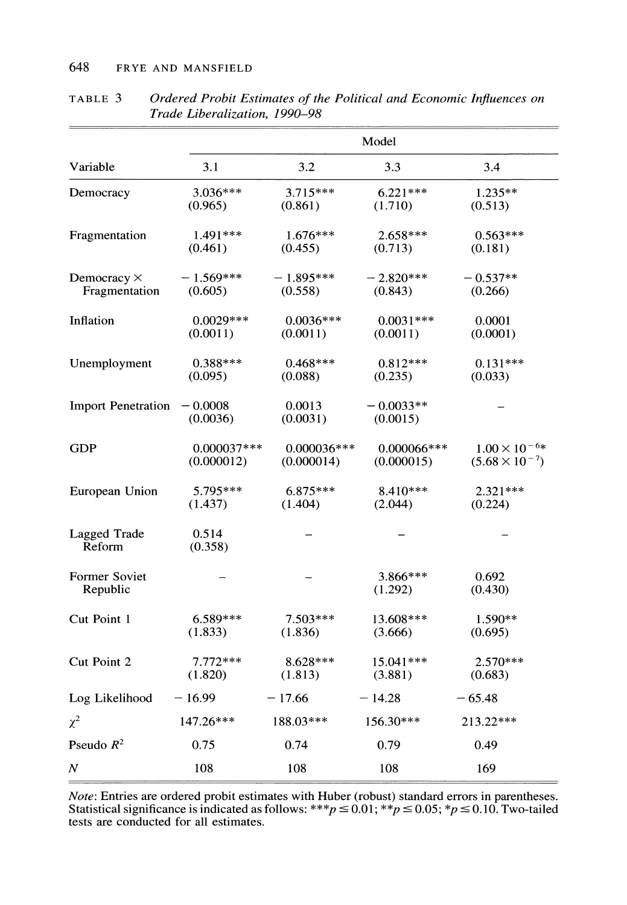|                               | Model                 |                    |                         |                         |
|-------------------------------|-----------------------|--------------------|-------------------------|-------------------------|
| Variable                      | 3.1                   | 3.2                | 3.3                     | 3.4                     |
| Democracy                     | $3.036***$            | $3.715***$         | $6.221***$              | $1.235**$               |
|                               | (0.965)               | (0.861)            | (1.710)                 | (0.513)                 |
| Fragmentation                 | 1.491 ***             | $1.676***$         | $2.658***$              | $0.563***$              |
|                               | (0.461)               | (0.455)            | (0.713)                 | (0.181)                 |
| Democracy ×                   | $-1.569***$           | $-1.895***$        | $-2.820***$             | $-0.537**$              |
| Fragmentation                 | (0.605)               | (0.558)            | (0.843)                 | (0.266)                 |
| Inflation                     | $0.0029***$           | $0.0036***$        | $0.0031***$             | 0.0001                  |
|                               | (0.0011)              | (0.0011)           | (0.0011)                | (0.0001)                |
| Unemployment                  | $0.388***$            | $0.468***$         | $0.812***$              | $0.131***$              |
|                               | (0.095)               | (0.088)            | (0.235)                 | (0.033)                 |
| <b>Import Penetration</b>     | $-0.0008$<br>(0.0036) | 0.0013<br>(0.0031) | $-0.0033**$<br>(0.0015) |                         |
| <b>GDP</b>                    | $0.000037***$         | $0.000036***$      | 0.000066***             | $1.00 \times 10^{-6*}$  |
|                               | (0.000012)            | (0.000014)         | (0.000015)              | $(5.68 \times 10^{-7})$ |
| European Union                | $5.795***$            | $6.875***$         | $8.410***$              | $2.321***$              |
|                               | (1.437)               | (1.404)            | (2.044)                 | (0.224)                 |
| <b>Lagged Trade</b><br>Reform | 0.514<br>(0.358)      |                    |                         |                         |
| Former Soviet<br>Republic     |                       |                    | 3.866***<br>(1.292)     | 0.692<br>(0.430)        |
| Cut Point 1                   | $6.589***$            | $7.503***$         | 13.608***               | 1.590**                 |
|                               | (1.833)               | (1.836)            | (3.666)                 | (0.695)                 |
| Cut Point 2                   | $7.772***$            | $8.628***$         | 15.041***               | $2.570***$              |
|                               | (1.820)               | (1.813)            | (3.881)                 | (0.683)                 |
| Log Likelihood                | $-16.99$              | $-17.66$           | $-14.28$                | $-65.48$                |
| $\chi^2$                      | 147.26***             | 188.03***          | 156.30***               | 213.22***               |
| Pseudo $R^2$                  | 0.75                  | 0.74               | 0.79                    | 0.49                    |
| N                             | 108                   | 108                | 108                     | 169                     |

**TABLE 3 Ordered Probit Estimates of the Political and Economic Influences on Trade Liberalization, 1990-98** 

**Note: Entries are ordered probit estimates with Huber (robust) standard errors in parentheses.**  Statistical significance is indicated as follows: \*\*\* $p \le 0.01$ ; \*\* $p \le 0.05$ ; \* $p \le$  tests are conducted for all estimates. **0.10. Two-tailed tests are conducted for all estimates.**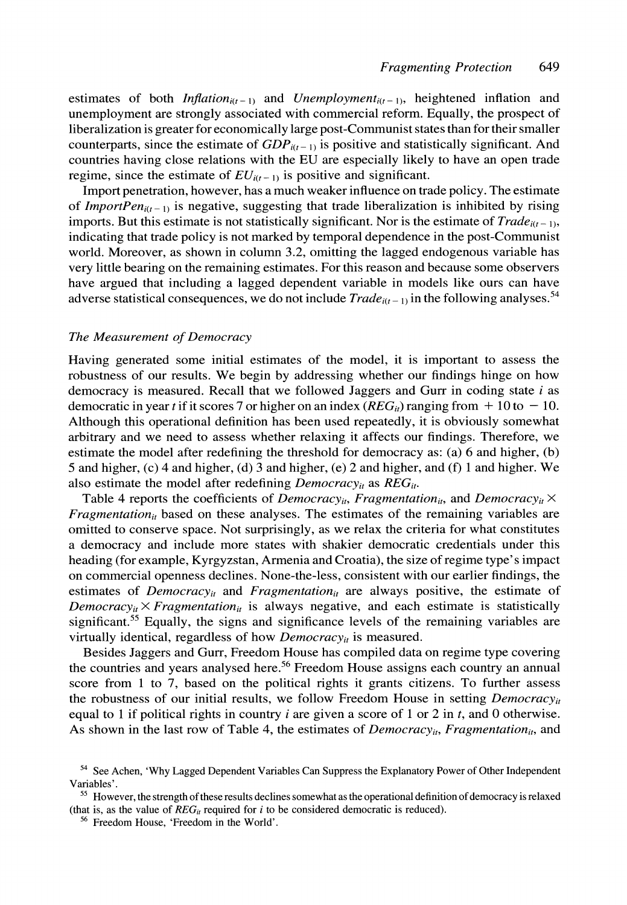estimates of both *Inflation*<sub> $i(t-1)$ </sub> and *Unemployment*<sub> $i(t-1)$ </sub>, heightened inflation and **unemployment are strongly associated with commercial reform. Equally, the prospect of liberalization is greater for economically large post-Communist states than for their smaller**  counterparts, since the estimate of  $GDP_{i(t-1)}$  is positive and statistically significant. And **countries having close relations with the EU are especially likely to have an open trade**  regime, since the estimate of  $EU_{i(t-1)}$  is positive and significant.

**Import penetration, however, has a much weaker influence on trade policy. The estimate**  of *ImportPen<sub>i(t-1)</sub>* is negative, suggesting that trade liberalization is inhibited by rising **imports. But this estimate is not statistically significant. Nor is the estimate of**  $Trade_{i(t-1)}$ **, indicating that trade policy is not marked by temporal dependence in the post-Communist world. Moreover, as shown in column 3.2, omitting the lagged endogenous variable has very little bearing on the remaining estimates. For this reason and because some observers have argued that including a lagged dependent variable in models like ours can have**  adverse statistical consequences, we do not include  $Trade_{i(t-1)}$  in the following analyses.<sup>54</sup>

#### **The Measurement of Democracy**

**Having generated some initial estimates of the model, it is important to assess the robustness of our results. We begin by addressing whether our findings hinge on how democracy is measured. Recall that we followed Jaggers and Gurr in coding state i as**  democratic in year t if it scores 7 or higher on an index  $(REG_{ii})$  ranging from  $+10$  to  $-10$ . **Although this operational definition has been used repeatedly, it is obviously somewhat arbitrary and we need to assess whether relaxing it affects our findings. Therefore, we estimate the model after redefining the threshold for democracy as: (a) 6 and higher, (b) 5 and higher, (c) 4 and higher, (d) 3 and higher, (e) 2 and higher, and (f) 1 and higher. We also estimate the model after redefining Democracyi, as REGit.** 

Table 4 reports the coefficients of *Democracy<sub>it</sub>*, Fragmentation<sub>it</sub>, and *Democracy*<sub>it</sub>  $\times$ Fragmentation<sub>it</sub> based on these analyses. The estimates of the remaining variables are **omitted to conserve space. Not surprisingly, as we relax the criteria for what constitutes a democracy and include more states with shakier democratic credentials under this heading (for example, Kyrgyzstan, Armenia and Croatia), the size of regime type' s impact on commercial openness declines. None-the-less, consistent with our earlier findings, the**  estimates of *Democracy<sub>it</sub>* and *Fragmentation<sub>it</sub>* are always positive, the estimate of Democracy<sub>it</sub>  $\times$  Fragmentation<sub>it</sub> is always negative, and each estimate is statistically **significant.55 Equally, the signs and significance levels of the remaining variables are**  virtually identical, regardless of how *Democracy<sub>it</sub>* is measured.

**Besides Jaggers and Gurr, Freedom House has compiled data on regime type covering the countries and years analysed here.56 Freedom House assigns each country an annual score from 1 to 7, based on the political rights it grants citizens. To further assess**  the robustness of our initial results, we follow Freedom House in setting  $Democrac_{y_i}$ **equal to 1 if political rights in country i are given a score of 1 or 2 in t, and 0 otherwise.**  As shown in the last row of Table 4, the estimates of *Democracy<sub>ii</sub>*, *Fragmentation<sub>ii</sub>*, and

**<sup>54</sup> See Achen, 'Why Lagged Dependent Variables Can Suppress the Explanatory Power of Other Independent Variables'.** 

**<sup>55</sup>However, the strength of these results declines somewhat as the operational definition of democracy is relaxed**  (that is, as the value of  $REG_{ii}$  required for i to be considered democratic is reduced).

**<sup>56</sup> Freedom House, 'Freedom in the World'.**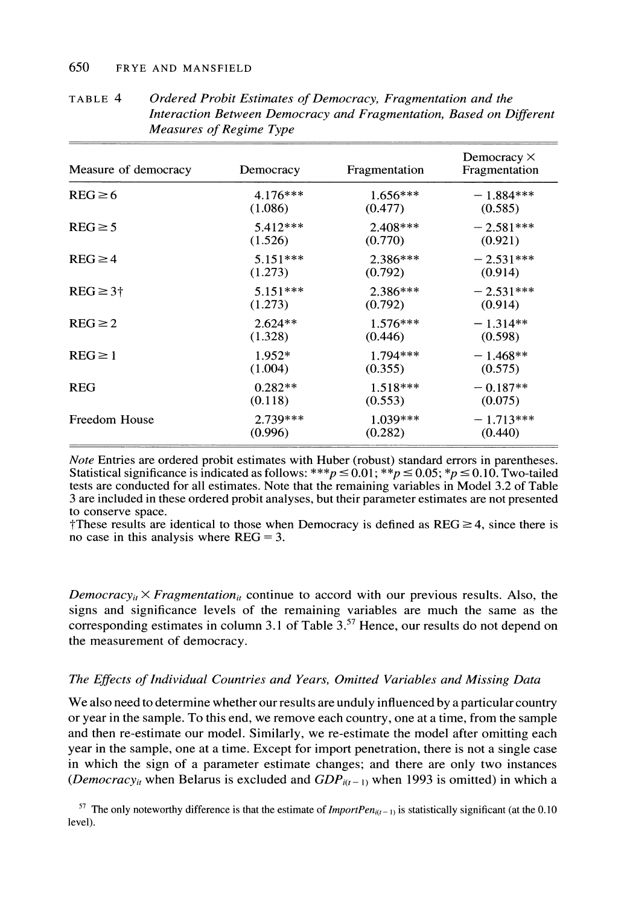## **650 FRYE AND MANSFIELD**

| Measure of democracy | Democracy  | Fragmentation | Democracy $\times$<br>Fragmentation |  |
|----------------------|------------|---------------|-------------------------------------|--|
| $REG \geq 6$         | $4.176***$ | $1.656***$    | $-1.884***$                         |  |
|                      | (1.086)    | (0.477)       | (0.585)                             |  |
| $REG \geq 5$         | $5.412***$ | $2.408***$    | $-2.581***$                         |  |
|                      | (1.526)    | (0.770)       | (0.921)                             |  |
| $REG \geq 4$         | $5.151***$ | 2.386***      | $-2.531***$                         |  |
|                      | (1.273)    | (0.792)       | (0.914)                             |  |
| $REG \geq 3^+$       | $5.151***$ | $2.386***$    | $-2.531***$                         |  |
|                      | (1.273)    | (0.792)       | (0.914)                             |  |
| $REG \geq 2$         | $2.624**$  | $1.576***$    | $-1.314**$                          |  |
|                      | (1.328)    | (0.446)       | (0.598)                             |  |
| $REG \geq 1$         | $1.952*$   | $1.794***$    | $-1.468**$                          |  |
|                      | (1.004)    | (0.355)       | (0.575)                             |  |
| <b>REG</b>           | $0.282**$  | $1.518***$    | $-0.187**$                          |  |
|                      | (0.118)    | (0.553)       | (0.075)                             |  |
| Freedom House        | $2.739***$ | $1.039***$    | $-1.713***$                         |  |
|                      | (0.996)    | (0.282)       | (0.440)                             |  |

**TABLE 4 Ordered Probit Estimates of Democracy, Fragmentation and the Interaction Between Democracy and Fragmentation, Based on Different Measures of Regime Type** 

**Note Entries are ordered probit estimates with Huber (robust) standard errors in parentheses. Statistical significance is indicated as follows:** \*\*\*p  $\leq 0.01$ ; \*\*p  $\leq 0.05$ ; \*p  $\leq 0.10$ . Two-tailed **tests are conducted for all estimates. Note that the remaining variables in Model 3.2 of Table 3 are included in these ordered probit analyses, but their parameter estimates are not presented to conserve space.** 

These results are identical to those when Democracy is defined as  $REG \geq 4$ , since there is **no case in this analysis where REG = 3.** 

*Democracy<sub>it</sub>*  $\times$  *Fragmentation<sub>it</sub>* continue to accord with our previous results. Also, the **signs and significance levels of the remaining variables are much the same as the corresponding estimates in column 3.1 of Table 3.57 Hence, our results do not depend on the measurement of democracy.** 

#### **The Effects of Individual Countries and Years, Omitted Variables and Missing Data**

**We also need to determine whether our results are unduly influenced by a particular country or year in the sample. To this end, we remove each country, one at a time, from the sample and then re-estimate our model. Similarly, we re-estimate the model after omitting each year in the sample, one at a time. Except for import penetration, there is not a single case in which the sign of a parameter estimate changes; and there are only two instances**  (*Democracy<sub>it</sub>* when Belarus is excluded and  $GDP_{i(t-1)}$  when 1993 is omitted) in which a

<sup>57</sup> The only noteworthy difference is that the estimate of  $ImportPen_{i(t-1)}$  is statistically significant (at the 0.10 **level).**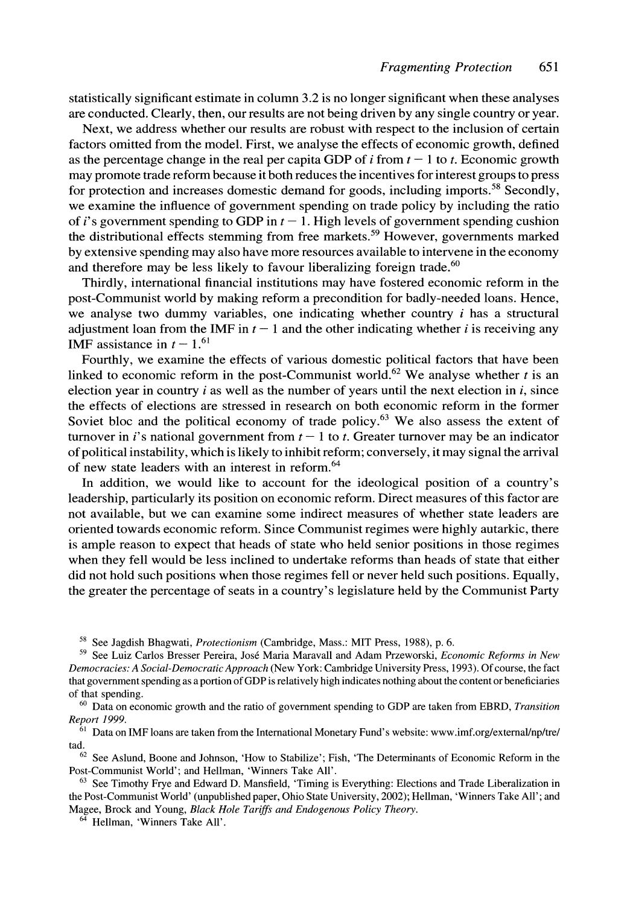**statistically significant estimate in column 3.2 is no longer significant when these analyses are conducted. Clearly, then, our results are not being driven by any single country or year.** 

**Next, we address whether our results are robust with respect to the inclusion of certain factors omitted from the model. First, we analyse the effects of economic growth, defined**  as the percentage change in the real per capita GDP of  $i$  from  $t - 1$  to  $t$ . Economic growth **may promote trade reform because it both reduces the incentives for interest groups to press for protection and increases domestic demand for goods, including imports.58 Secondly, we examine the influence of government spending on trade policy by including the ratio**  of *i*'s government spending to GDP in  $t - 1$ . High levels of government spending cushion **the distributional effects stemming from free markets.59 However, governments marked by extensive spending may also have more resources available to intervene in the economy**  and therefore may be less likely to favour liberalizing foreign trade.<sup>60</sup>

**Thirdly, international financial institutions may have fostered economic reform in the post-Communist world by making reform a precondition for badly-needed loans. Hence, we analyse two dummy variables, one indicating whether country i has a structural**  adjustment loan from the IMF in  $t - 1$  and the other indicating whether i is receiving any **IMF** assistance in  $t - 1$ .<sup>61</sup>

**Fourthly, we examine the effects of various domestic political factors that have been**  linked to economic reform in the post-Communist world.<sup>62</sup> We analyse whether t is an election year in country  $i$  as well as the number of years until the next election in  $i$ , since **the effects of elections are stressed in research on both economic reform in the former**  Soviet bloc and the political economy of trade policy.<sup>63</sup> We also assess the extent of turnover in *i*'s national government from  $t - 1$  to *t*. Greater turnover may be an indicator **of political instability, which is likely to inhibit reform; conversely, it may signal the arrival of new state leaders with an interest in reform.64** 

**In addition, we would like to account for the ideological position of a country's leadership, particularly its position on economic reform. Direct measures of this factor are not available, but we can examine some indirect measures of whether state leaders are oriented towards economic reform. Since Communist regimes were highly autarkic, there is ample reason to expect that heads of state who held senior positions in those regimes when they fell would be less inclined to undertake reforms than heads of state that either did not hold such positions when those regimes fell or never held such positions. Equally, the greater the percentage of seats in a country' s legislature held by the Communist Party** 

**<sup>58</sup>See Jagdish Bhagwati, Protectionism (Cambridge, Mass.: MIT Press, 1988), p. 6.** 

**61 Data on IMF loans are taken from the International Monetary Fund's website: www.imf.org/external/np/tre/ tad.** 

**62 See Aslund, Boone and Johnson, 'How to Stabilize'; Fish, 'The Determinants of Economic Reform in the Post-Communist World'; and Hellman, 'Winners Take All'.** 

**63 See Timothy Frye and Edward D. Mansfield, 'Timing is Everything: Elections and Trade Liberalization in the Post-Communist World' (unpublished paper, Ohio State University, 2002); Hellman, 'Winners Take All'; and Magee, Brock and Young, Black Hole Tariffs and Endogenous Policy Theory.** 

**64 Hellman, 'Winners Take All'.** 

<sup>&</sup>lt;sup>59</sup> See Luiz Carlos Bresser Pereira, José Maria Maravall and Adam Przeworski, Economic Reforms in New **Democracies: A Social-Democratic Approach (New York: Cambridge University Press, 1993). Of course, the fact that government spending as a portion of GDP is relatively high indicates nothing about the content or beneficiaries of that spending.** 

**<sup>60</sup>Data on economic growth and the ratio of government spending to GDP are taken from EBRD, Transition Report 1999.**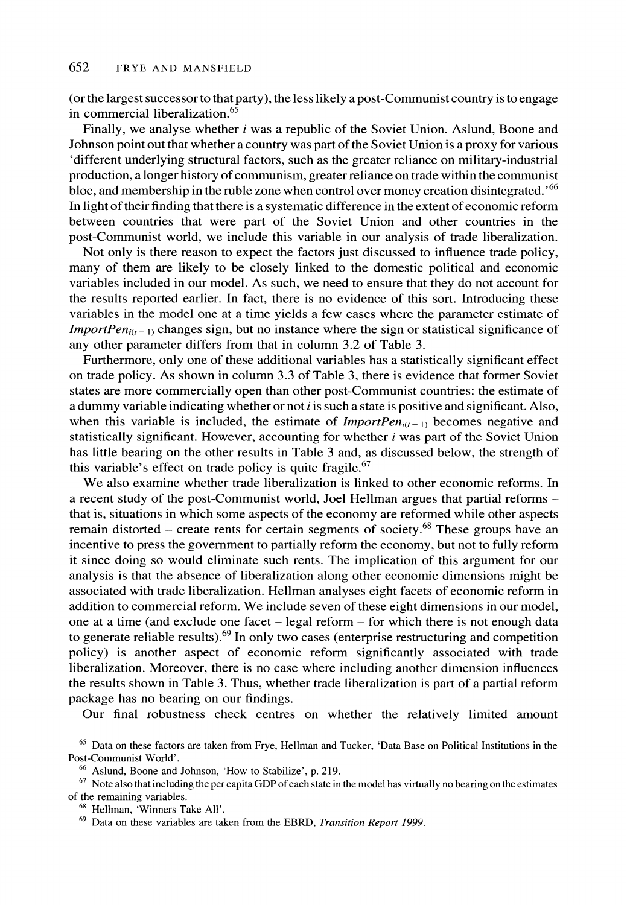**(or the largest successor to that party), the less likely a post-Communist country is to engage in commercial liberalization.65** 

**Finally, we analyse whether i was a republic of the Soviet Union. Aslund, Boone and Johnson point out that whether a country was part of the Soviet Union is a proxy for various 'different underlying structural factors, such as the greater reliance on military-industrial production, a longer history of communism, greater reliance on trade within the communist bloc, and membership in the ruble zone when control over money creation disintegrated.'66 In light of their finding that there is a systematic difference in the extent of economic reform between countries that were part of the Soviet Union and other countries in the post-Communist world, we include this variable in our analysis of trade liberalization.** 

**Not only is there reason to expect the factors just discussed to influence trade policy, many of them are likely to be closely linked to the domestic political and economic variables included in our model. As such, we need to ensure that they do not account for the results reported earlier. In fact, there is no evidence of this sort. Introducing these variables in the model one at a time yields a few cases where the parameter estimate of**  *ImportPen<sub>i(t-1)</sub> changes sign, but no instance where the sign or statistical significance of* **any other parameter differs from that in column 3.2 of Table 3.** 

**Furthermore, only one of these additional variables has a statistically significant effect on trade policy. As shown in column 3.3 of Table 3, there is evidence that former Soviet states are more commercially open than other post-Communist countries: the estimate of a dummy variable indicating whether or not i is such a state is positive and significant. Also,**  when this variable is included, the estimate of  $ImportPen_{it(-1)}$  becomes negative and **statistically significant. However, accounting for whether i was part of the Soviet Union has little bearing on the other results in Table 3 and, as discussed below, the strength of this variable's effect on trade policy is quite fragile.67** 

**We also examine whether trade liberalization is linked to other economic reforms. In a recent study of the post-Communist world, Joel Hellman argues that partial reforms that is, situations in which some aspects of the economy are reformed while other aspects**  remain distorted – create rents for certain segments of society.<sup>68</sup> These groups have an **incentive to press the government to partially reform the economy, but not to fully reform it since doing so would eliminate such rents. The implication of this argument for our analysis is that the absence of liberalization along other economic dimensions might be associated with trade liberalization. Hellman analyses eight facets of economic reform in addition to commercial reform. We include seven of these eight dimensions in our model, one at a time (and exclude one facet - legal reform - for which there is not enough data to generate reliable results).69 In only two cases (enterprise restructuring and competition policy) is another aspect of economic reform significantly associated with trade liberalization. Moreover, there is no case where including another dimension influences the results shown in Table 3. Thus, whether trade liberalization is part of a partial reform package has no bearing on our findings.** 

**Our final robustness check centres on whether the relatively limited amount** 

**<sup>65</sup>Data on these factors are taken from Frye, Hellman and Tucker, 'Data Base on Political Institutions in the Post-Communist World'.** 

**66 Aslund, Boone and Johnson, 'How to Stabilize', p. 219.** 

**67 Note also that including the per capita GDP of each state in the model has virtually no bearing on the estimates of the remaining variables.** 

**69 Data on these variables are taken from the EBRD, Transition Report 1999.** 

**<sup>68</sup> Hellman, 'Winners Take All'.**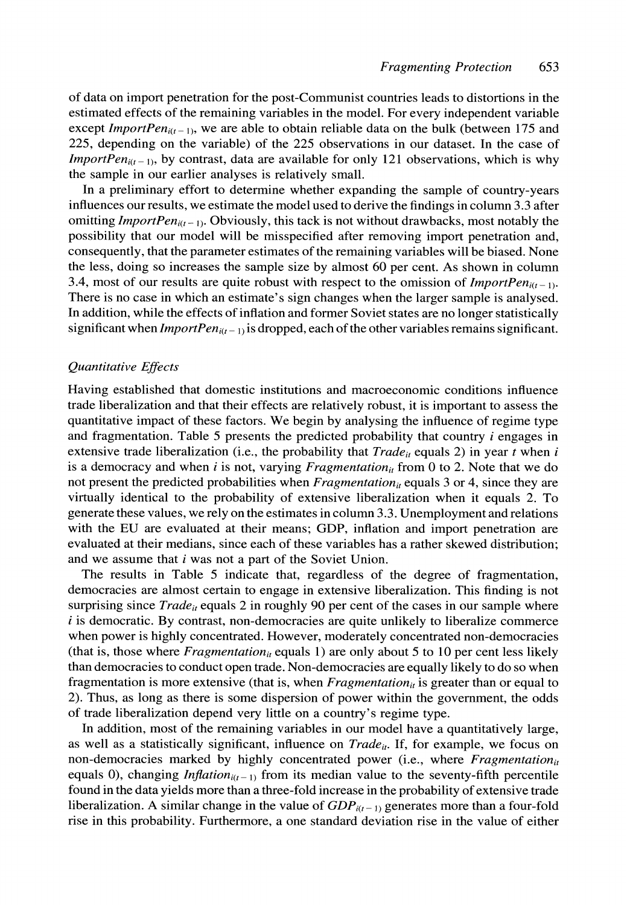**of data on import penetration for the post-Communist countries leads to distortions in the estimated effects of the remaining variables in the model. For every independent variable**  except *ImportPen<sub>i(t-1)</sub>, we are able to obtain reliable data on the bulk (between 175 and* **225, depending on the variable) of the 225 observations in our dataset. In the case of**  *ImportPen*<sub> $i(i-1)$ </sub>, by contrast, data are available for only 121 observations, which is why **the sample in our earlier analyses is relatively small.** 

**In a preliminary effort to determine whether expanding the sample of country-years influences our results, we estimate the model used to derive the findings in column 3.3 after**  omitting *ImportPen<sub>i(t-1)</sub>.* Obviously, this tack is not without drawbacks, most notably the **possibility that our model will be misspecified after removing import penetration and, consequently, that the parameter estimates of the remaining variables will be biased. None the less, doing so increases the sample size by almost 60 per cent. As shown in column**  3.4, most of our results are quite robust with respect to the omission of *ImportPen*<sub> $i(t-1)$ </sub>. There is no case in which an estimate's sign changes when the larger sample is analysed. **In addition, while the effects of inflation and former Soviet states are no longer statistically**  significant when  $ImportPen_{i(t-1)}$  is dropped, each of the other variables remains significant.

## **Quantitative Effects**

**Having established that domestic institutions and macroeconomic conditions influence trade liberalization and that their effects are relatively robust, it is important to assess the quantitative impact of these factors. We begin by analysing the influence of regime type and fragmentation. Table 5 presents the predicted probability that country i engages in**  extensive trade liberalization (i.e., the probability that  $Trade_{it}$  equals 2) in year t when i is a democracy and when  $i$  is not, varying Fragmentation<sub>it</sub> from 0 to 2. Note that we do not present the predicted probabilities when *Fragmentation*<sub>it</sub> equals 3 or 4, since they are **virtually identical to the probability of extensive liberalization when it equals 2. To generate these values, we rely on the estimates in column 3.3. Unemployment and relations with the EU are evaluated at their means; GDP, inflation and import penetration are evaluated at their medians, since each of these variables has a rather skewed distribution; and we assume that i was not a part of the Soviet Union.** 

**The results in Table 5 indicate that, regardless of the degree of fragmentation, democracies are almost certain to engage in extensive liberalization. This finding is not**  surprising since  $Trade_{ii}$  equals 2 in roughly 90 per cent of the cases in our sample where **i is democratic. By contrast, non-democracies are quite unlikely to liberalize commerce when power is highly concentrated. However, moderately concentrated non-democracies**  (that is, those where *Fragmentation<sub>it</sub>* equals 1) are only about 5 to 10 per cent less likely **than democracies to conduct open trade. Non-democracies are equally likely to do so when fragmentation is more extensive (that is, when**  $Fragmentation<sub>it</sub>$  **is greater than or equal to 2). Thus, as long as there is some dispersion of power within the government, the odds of trade liberalization depend very little on a country's regime type.** 

**In addition, most of the remaining variables in our model have a quantitatively large,**  as well as a statistically significant, influence on *Trade<sub>u</sub>*. If, for example, we focus on non-democracies marked by highly concentrated power (i.e., where Fragmentation<sub>it</sub> equals 0), changing *Inflation*<sub> $i(i-1)$ </sub> from its median value to the seventy-fifth percentile **found in the data yields more than a three-fold increase in the probability of extensive trade**  liberalization. A similar change in the value of  $GDP_{i(t-1)}$  generates more than a four-fold **rise in this probability. Furthermore, a one standard deviation rise in the value of either**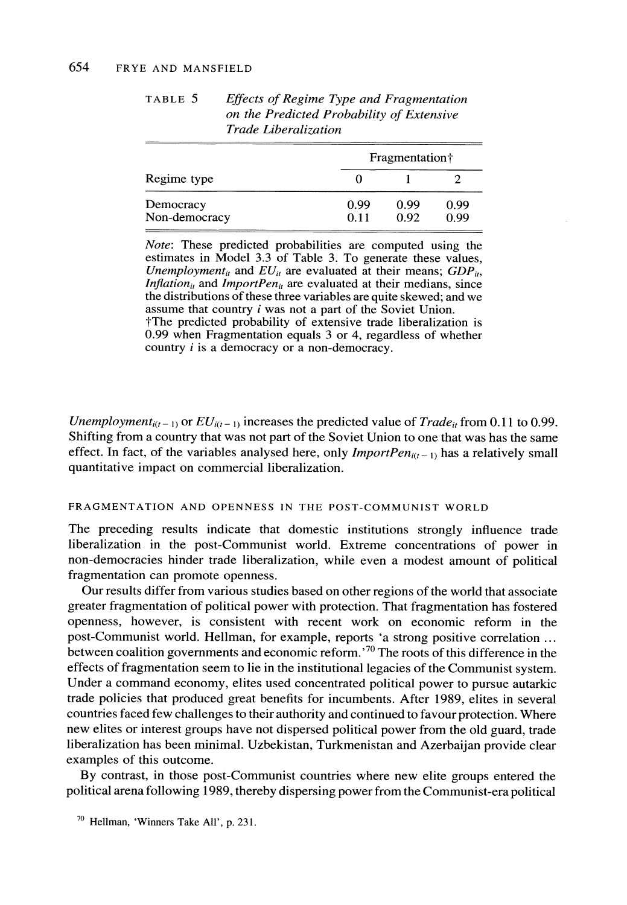| Regime type                | Fragmentation <sup>†</sup> |              |              |
|----------------------------|----------------------------|--------------|--------------|
|                            |                            |              |              |
| Democracy<br>Non-democracy | 0.99<br>0.11               | 0.99<br>0.92 | 0.99<br>0.99 |

**TABLE 5 Effects of Regime Type and Fragmentation on the Predicted Probability of Extensive Trade Liberalization** 

**Note: These predicted probabilities are computed using the estimates in Model 3.3 of Table 3. To generate these values,**  Unemployment<sub>it</sub> and  $EU_{it}$  are evaluated at their means;  $GDP_{it}$ , *Inflation<sub>it</sub>* and *ImportPen<sub>it</sub>* are evaluated at their medians, since **the distributions of these three variables are quite skewed; and we assume that country i was not a part of the Soviet Union. tThe predicted probability of extensive trade liberalization is** 

**0.99 when Fragmentation equals 3 or 4, regardless of whether country i is a democracy or a non-democracy.** 

*Unemployment<sub>i(t-1)</sub> or*  $EU_{i(t-1)}$  *increases the predicted value of*  $Trade_{it}$  *from 0.11 to 0.99.* **Shifting from a country that was not part of the Soviet Union to one that was has the same**  effect. In fact, of the variables analysed here, only  $ImportPen_{i(t-1)}$  has a relatively small **quantitative impact on commercial liberalization.** 

# **FRAGMENTATION AND OPENNESS IN THE POST-COMMUNIST WORLD**

**The preceding results indicate that domestic institutions strongly influence trade liberalization in the post-Communist world. Extreme concentrations of power in non-democracies hinder trade liberalization, while even a modest amount of political fragmentation can promote openness.** 

**Our results differ from various studies based on other regions of the world that associate greater fragmentation of political power with protection. That fragmentation has fostered openness, however, is consistent with recent work on economic reform in the post-Communist world. Hellman, for example, reports 'a strong positive correlation ... between coalition governments and economic reform.'70 The roots of this difference in the effects of fragmentation seem to lie in the institutional legacies of the Communist system. Under a command economy, elites used concentrated political power to pursue autarkic trade policies that produced great benefits for incumbents. After 1989, elites in several countries faced few challenges to their authority and continued to favour protection. Where new elites or interest groups have not dispersed political power from the old guard, trade liberalization has been minimal. Uzbekistan, Turkmenistan and Azerbaijan provide clear examples of this outcome.** 

**By contrast, in those post-Communist countries where new elite groups entered the political arena following 1989, thereby dispersing power from the Communist-era political** 

**<sup>70</sup>Hellman, 'Winners Take All', p. 231.**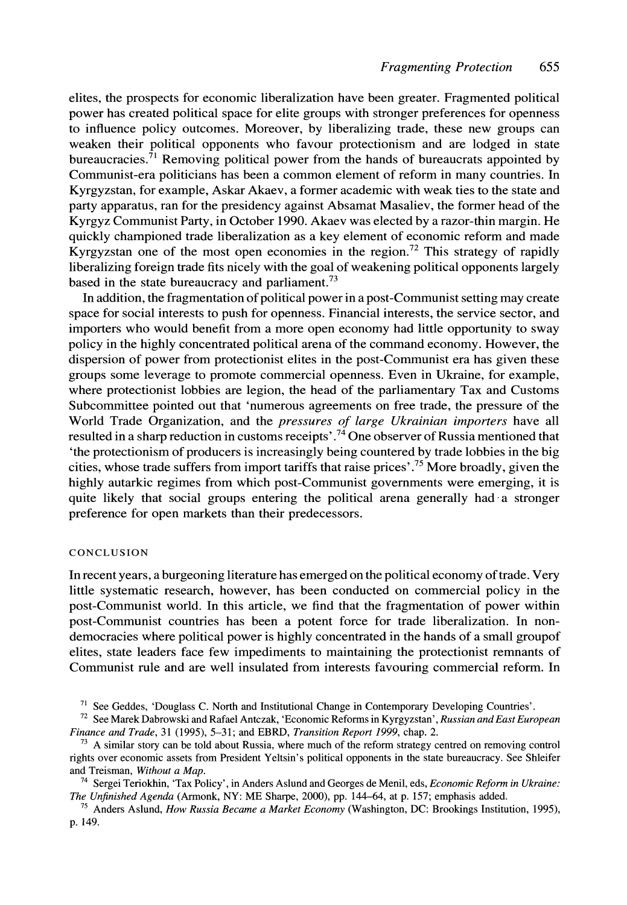**elites, the prospects for economic liberalization have been greater. Fragmented political power has created political space for elite groups with stronger preferences for openness to influence policy outcomes. Moreover, by liberalizing trade, these new groups can weaken their political opponents who favour protectionism and are lodged in state bureaucracies.71 Removing political power from the hands of bureaucrats appointed by Communist-era politicians has been a common element of reform in many countries. In Kyrgyzstan, for example, Askar Akaev, a former academic with weak ties to the state and party apparatus, ran for the presidency against Absamat Masaliev, the former head of the Kyrgyz Communist Party, in October 1990. Akaev was elected by a razor-thin margin. He quickly championed trade liberalization as a key element of economic reform and made Kyrgyzstan one of the most open economies in the region.72 This strategy of rapidly liberalizing foreign trade fits nicely with the goal of weakening political opponents largely based in the state bureaucracy and parliament.73** 

**In addition, the fragmentation of political power in a post-Communist setting may create space for social interests to push for openness. Financial interests, the service sector, and importers who would benefit from a more open economy had little opportunity to sway policy in the highly concentrated political arena of the command economy. However, the dispersion of power from protectionist elites in the post-Communist era has given these groups some leverage to promote commercial openness. Even in Ukraine, for example, where protectionist lobbies are legion, the head of the parliamentary Tax and Customs Subcommittee pointed out that 'numerous agreements on free trade, the pressure of the World Trade Organization, and the pressures of large Ukrainian importers have all resulted in a sharp reduction in customs receipts'.74 One observer of Russia mentioned that 'the protectionism of producers is increasingly being countered by trade lobbies in the big cities, whose trade suffers from import tariffs that raise prices'.75 More broadly, given the highly autarkic regimes from which post-Communist governments were emerging, it is quite likely that social groups entering the political arena generally had a stronger preference for open markets than their predecessors.** 

#### **CONCLUSION**

**In recent years, a burgeoning literature has emerged on the political economy of trade. Very little systematic research, however, has been conducted on commercial policy in the post-Communist world. In this article, we find that the fragmentation of power within post-Communist countries has been a potent force for trade liberalization. In nondemocracies where political power is highly concentrated in the hands of a small groupof elites, state leaders face few impediments to maintaining the protectionist remnants of Communist rule and are well insulated from interests favouring commercial reform. In** 

**<sup>71</sup>See Geddes, 'Douglass C. North and Institutional Change in Contemporary Developing Countries'.** 

**<sup>72</sup>See Marek Dabrowski and Rafael Antczak, 'Economic Reforms in Kyrgyzstan', Russian and East European Finance and Trade, 31 (1995), 5-31; and EBRD, Transition Report 1999, chap. 2.** 

**74 Sergei Teriokhin, 'Tax Policy', in Anders Aslund and Georges de Menil, eds, Economic Reform in Ukraine: The Unfinished Agenda (Armonk, NY: ME Sharpe, 2000), pp. 144-64, at p. 157; emphasis added.** 

**<sup>73</sup> A similar story can be told about Russia, where much of the reform strategy centred on removing control rights over economic assets from President Yeltsin's political opponents in the state bureaucracy. See Shleifer and Treisman, Without a Map.** 

**<sup>75</sup> Anders Aslund, How Russia Became a Market Economy (Washington, DC: Brookings Institution, 1995), p. 149.**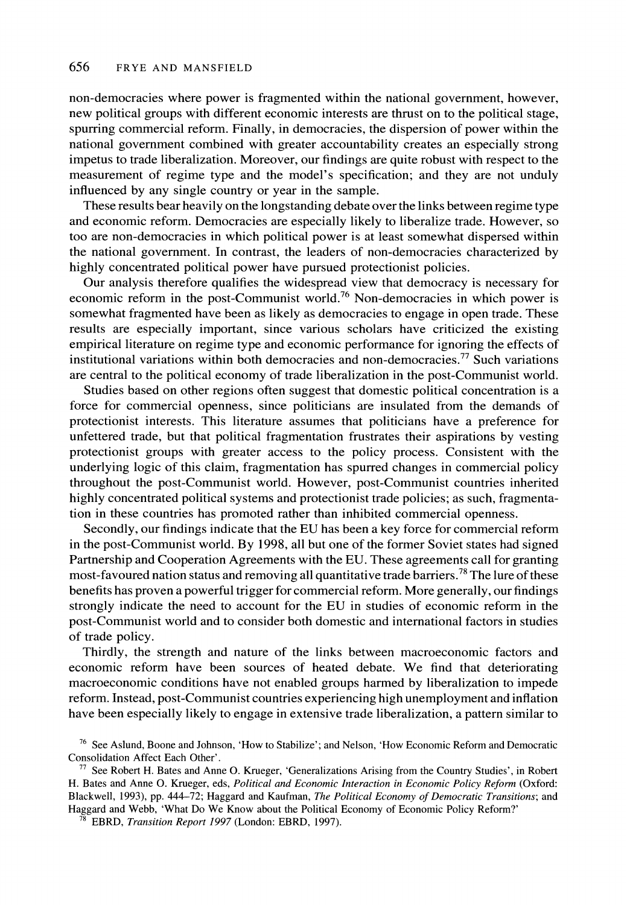#### **656 FRYE AND MANSFIELD**

**non-democracies where power is fragmented within the national government, however, new political groups with different economic interests are thrust on to the political stage, spurring commercial reform. Finally, in democracies, the dispersion of power within the national government combined with greater accountability creates an especially strong impetus to trade liberalization. Moreover, our findings are quite robust with respect to the measurement of regime type and the model's specification; and they are not unduly influenced by any single country or year in the sample.** 

**These results bear heavily on the longstanding debate over the links between regime type and economic reform. Democracies are especially likely to liberalize trade. However, so too are non-democracies in which political power is at least somewhat dispersed within the national government. In contrast, the leaders of non-democracies characterized by highly concentrated political power have pursued protectionist policies.** 

**Our analysis therefore qualifies the widespread view that democracy is necessary for economic reform in the post-Communist world.76 Non-democracies in which power is somewhat fragmented have been as likely as democracies to engage in open trade. These results are especially important, since various scholars have criticized the existing empirical literature on regime type and economic performance for ignoring the effects of institutional variations within both democracies and non-democracies.77 Such variations are central to the political economy of trade liberalization in the post-Communist world.** 

**Studies based on other regions often suggest that domestic political concentration is a force for commercial openness, since politicians are insulated from the demands of protectionist interests. This literature assumes that politicians have a preference for unfettered trade, but that political fragmentation frustrates their aspirations by vesting protectionist groups with greater access to the policy process. Consistent with the underlying logic of this claim, fragmentation has spurred changes in commercial policy throughout the post-Communist world. However, post-Communist countries inherited highly concentrated political systems and protectionist trade policies; as such, fragmentation in these countries has promoted rather than inhibited commercial openness.** 

**Secondly, our findings indicate that the EU has been a key force for commercial reform in the post-Communist world. By 1998, all but one of the former Soviet states had signed Partnership and Cooperation Agreements with the EU. These agreements call for granting most-favoured nation status and removing all quantitative trade barriers.78 The lure of these benefits has proven a powerful trigger for commercial reform. More generally, our findings strongly indicate the need to account for the EU in studies of economic reform in the post-Communist world and to consider both domestic and international factors in studies of trade policy.** 

**Thirdly, the strength and nature of the links between macroeconomic factors and economic reform have been sources of heated debate. We find that deteriorating macroeconomic conditions have not enabled groups harmed by liberalization to impede reform. Instead, post-Communist countries experiencing high unemployment and inflation have been especially likely to engage in extensive trade liberalization, a pattern similar to** 

**<sup>76</sup>See Aslund, Boone and Johnson, 'How to Stabilize'; and Nelson, 'How Economic Reform and Democratic Consolidation Affect Each Other'.** 

**<sup>77</sup>See Robert H. Bates and Anne O. Krueger, 'Generalizations Arising from the Country Studies', in Robert H. Bates and Anne O. Krueger, eds, Political and Economic Interaction in Economic Policy Reform (Oxford: Blackwell, 1993), pp. 444-72; Haggard and Kaufman, The Political Economy of Democratic Transitions; and Haggard and Webb, 'What Do We Know about the Political Economy of Economic Policy Reform?'** 

**<sup>78</sup> EBRD, Transition Report 1997 (London: EBRD, 1997).**